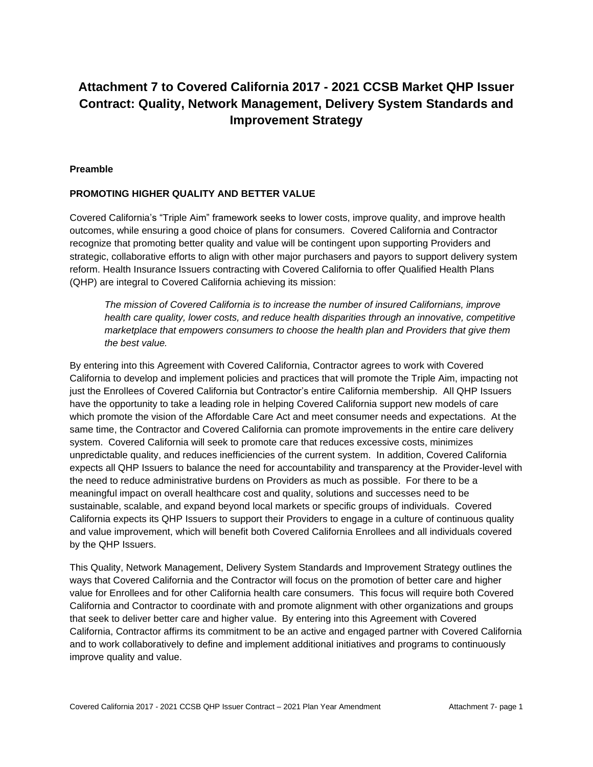# **Attachment 7 to Covered California 2017 - 2021 CCSB Market QHP Issuer Contract: Quality, Network Management, Delivery System Standards and Improvement Strategy**

#### **Preamble**

### **PROMOTING HIGHER QUALITY AND BETTER VALUE**

Covered California's "Triple Aim" framework seeks to lower costs, improve quality, and improve health outcomes, while ensuring a good choice of plans for consumers. Covered California and Contractor recognize that promoting better quality and value will be contingent upon supporting Providers and strategic, collaborative efforts to align with other major purchasers and payors to support delivery system reform. Health Insurance Issuers contracting with Covered California to offer Qualified Health Plans (QHP) are integral to Covered California achieving its mission:

*The mission of Covered California is to increase the number of insured Californians, improve health care quality, lower costs, and reduce health disparities through an innovative, competitive marketplace that empowers consumers to choose the health plan and Providers that give them the best value.*

By entering into this Agreement with Covered California, Contractor agrees to work with Covered California to develop and implement policies and practices that will promote the Triple Aim, impacting not just the Enrollees of Covered California but Contractor's entire California membership. All QHP Issuers have the opportunity to take a leading role in helping Covered California support new models of care which promote the vision of the Affordable Care Act and meet consumer needs and expectations. At the same time, the Contractor and Covered California can promote improvements in the entire care delivery system. Covered California will seek to promote care that reduces excessive costs, minimizes unpredictable quality, and reduces inefficiencies of the current system. In addition, Covered California expects all QHP Issuers to balance the need for accountability and transparency at the Provider-level with the need to reduce administrative burdens on Providers as much as possible. For there to be a meaningful impact on overall healthcare cost and quality, solutions and successes need to be sustainable, scalable, and expand beyond local markets or specific groups of individuals. Covered California expects its QHP Issuers to support their Providers to engage in a culture of continuous quality and value improvement, which will benefit both Covered California Enrollees and all individuals covered by the QHP Issuers.

This Quality, Network Management, Delivery System Standards and Improvement Strategy outlines the ways that Covered California and the Contractor will focus on the promotion of better care and higher value for Enrollees and for other California health care consumers. This focus will require both Covered California and Contractor to coordinate with and promote alignment with other organizations and groups that seek to deliver better care and higher value. By entering into this Agreement with Covered California, Contractor affirms its commitment to be an active and engaged partner with Covered California and to work collaboratively to define and implement additional initiatives and programs to continuously improve quality and value.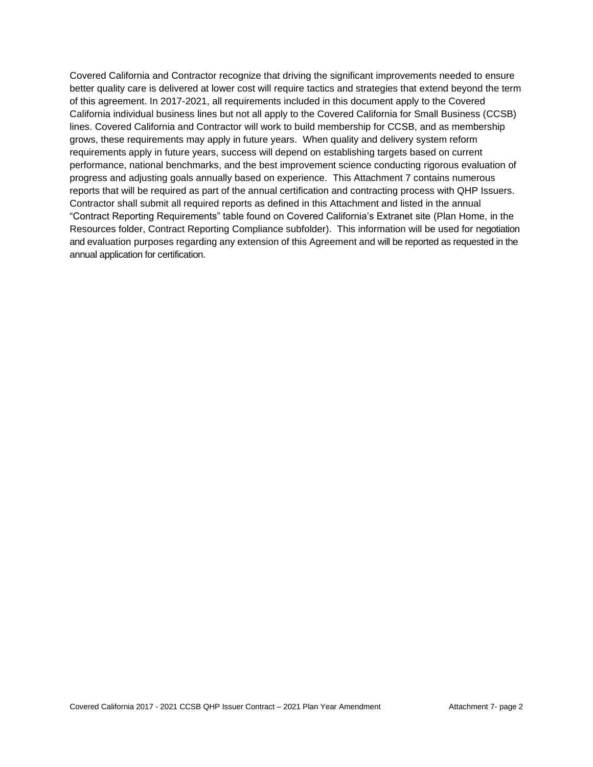Covered California and Contractor recognize that driving the significant improvements needed to ensure better quality care is delivered at lower cost will require tactics and strategies that extend beyond the term of this agreement. In 2017-2021, all requirements included in this document apply to the Covered California individual business lines but not all apply to the Covered California for Small Business (CCSB) lines. Covered California and Contractor will work to build membership for CCSB, and as membership grows, these requirements may apply in future years. When quality and delivery system reform requirements apply in future years, success will depend on establishing targets based on current performance, national benchmarks, and the best improvement science conducting rigorous evaluation of progress and adjusting goals annually based on experience. This Attachment 7 contains numerous reports that will be required as part of the annual certification and contracting process with QHP Issuers. Contractor shall submit all required reports as defined in this Attachment and listed in the annual "Contract Reporting Requirements" table found on Covered California's Extranet site (Plan Home, in the Resources folder, Contract Reporting Compliance subfolder). This information will be used for negotiation and evaluation purposes regarding any extension of this Agreement and will be reported as requested in the annual application for certification.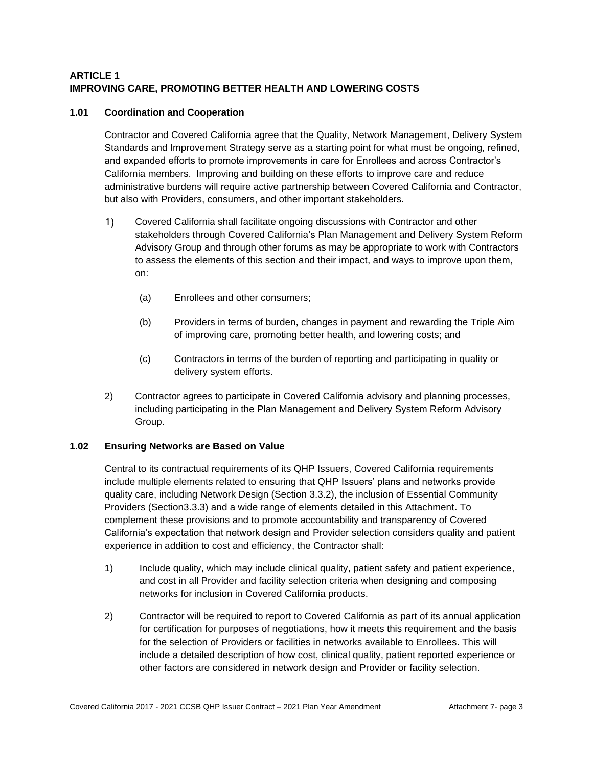# **ARTICLE 1 IMPROVING CARE, PROMOTING BETTER HEALTH AND LOWERING COSTS**

# **1.01 Coordination and Cooperation**

Contractor and Covered California agree that the Quality, Network Management, Delivery System Standards and Improvement Strategy serve as a starting point for what must be ongoing, refined, and expanded efforts to promote improvements in care for Enrollees and across Contractor's California members. Improving and building on these efforts to improve care and reduce administrative burdens will require active partnership between Covered California and Contractor, but also with Providers, consumers, and other important stakeholders.

- $1)$ Covered California shall facilitate ongoing discussions with Contractor and other stakeholders through Covered California's Plan Management and Delivery System Reform Advisory Group and through other forums as may be appropriate to work with Contractors to assess the elements of this section and their impact, and ways to improve upon them, on:
	- (a) Enrollees and other consumers;
	- (b) Providers in terms of burden, changes in payment and rewarding the Triple Aim of improving care, promoting better health, and lowering costs; and
	- (c) Contractors in terms of the burden of reporting and participating in quality or delivery system efforts.
- 2) Contractor agrees to participate in Covered California advisory and planning processes, including participating in the Plan Management and Delivery System Reform Advisory Group.

# **1.02 Ensuring Networks are Based on Value**

Central to its contractual requirements of its QHP Issuers, Covered California requirements include multiple elements related to ensuring that QHP Issuers' plans and networks provide quality care, including Network Design (Section 3.3.2), the inclusion of Essential Community Providers (Section3.3.3) and a wide range of elements detailed in this Attachment. To complement these provisions and to promote accountability and transparency of Covered California's expectation that network design and Provider selection considers quality and patient experience in addition to cost and efficiency, the Contractor shall:

- 1) Include quality, which may include clinical quality, patient safety and patient experience, and cost in all Provider and facility selection criteria when designing and composing networks for inclusion in Covered California products.
- 2) Contractor will be required to report to Covered California as part of its annual application for certification for purposes of negotiations, how it meets this requirement and the basis for the selection of Providers or facilities in networks available to Enrollees. This will include a detailed description of how cost, clinical quality, patient reported experience or other factors are considered in network design and Provider or facility selection.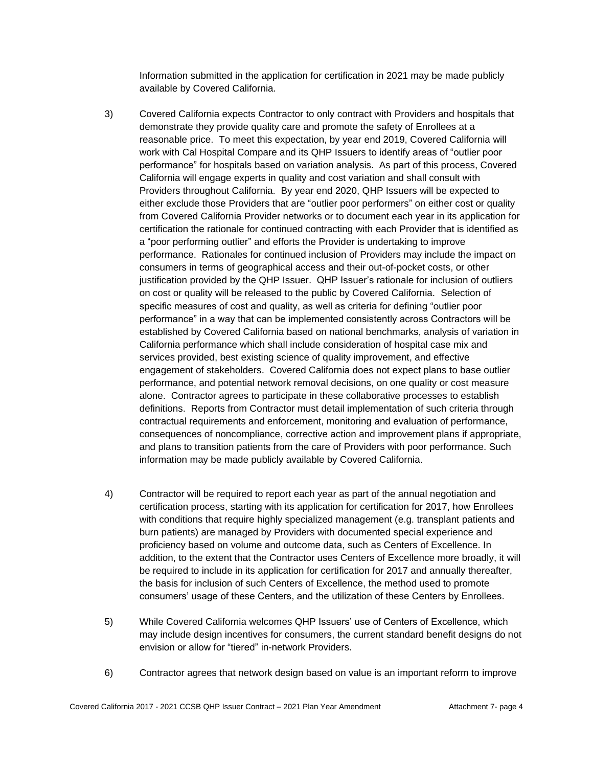Information submitted in the application for certification in 2021 may be made publicly available by Covered California.

- 3) Covered California expects Contractor to only contract with Providers and hospitals that demonstrate they provide quality care and promote the safety of Enrollees at a reasonable price. To meet this expectation, by year end 2019, Covered California will work with Cal Hospital Compare and its QHP Issuers to identify areas of "outlier poor performance" for hospitals based on variation analysis. As part of this process, Covered California will engage experts in quality and cost variation and shall consult with Providers throughout California. By year end 2020, QHP Issuers will be expected to either exclude those Providers that are "outlier poor performers" on either cost or quality from Covered California Provider networks or to document each year in its application for certification the rationale for continued contracting with each Provider that is identified as a "poor performing outlier" and efforts the Provider is undertaking to improve performance. Rationales for continued inclusion of Providers may include the impact on consumers in terms of geographical access and their out-of-pocket costs, or other justification provided by the QHP Issuer. QHP Issuer's rationale for inclusion of outliers on cost or quality will be released to the public by Covered California. Selection of specific measures of cost and quality, as well as criteria for defining "outlier poor performance" in a way that can be implemented consistently across Contractors will be established by Covered California based on national benchmarks, analysis of variation in California performance which shall include consideration of hospital case mix and services provided, best existing science of quality improvement, and effective engagement of stakeholders. Covered California does not expect plans to base outlier performance, and potential network removal decisions, on one quality or cost measure alone. Contractor agrees to participate in these collaborative processes to establish definitions. Reports from Contractor must detail implementation of such criteria through contractual requirements and enforcement, monitoring and evaluation of performance, consequences of noncompliance, corrective action and improvement plans if appropriate, and plans to transition patients from the care of Providers with poor performance. Such information may be made publicly available by Covered California.
- 4) Contractor will be required to report each year as part of the annual negotiation and certification process, starting with its application for certification for 2017, how Enrollees with conditions that require highly specialized management (e.g. transplant patients and burn patients) are managed by Providers with documented special experience and proficiency based on volume and outcome data, such as Centers of Excellence. In addition, to the extent that the Contractor uses Centers of Excellence more broadly, it will be required to include in its application for certification for 2017 and annually thereafter, the basis for inclusion of such Centers of Excellence, the method used to promote consumers' usage of these Centers, and the utilization of these Centers by Enrollees.
- 5) While Covered California welcomes QHP Issuers' use of Centers of Excellence, which may include design incentives for consumers, the current standard benefit designs do not envision or allow for "tiered" in-network Providers.
- 6) Contractor agrees that network design based on value is an important reform to improve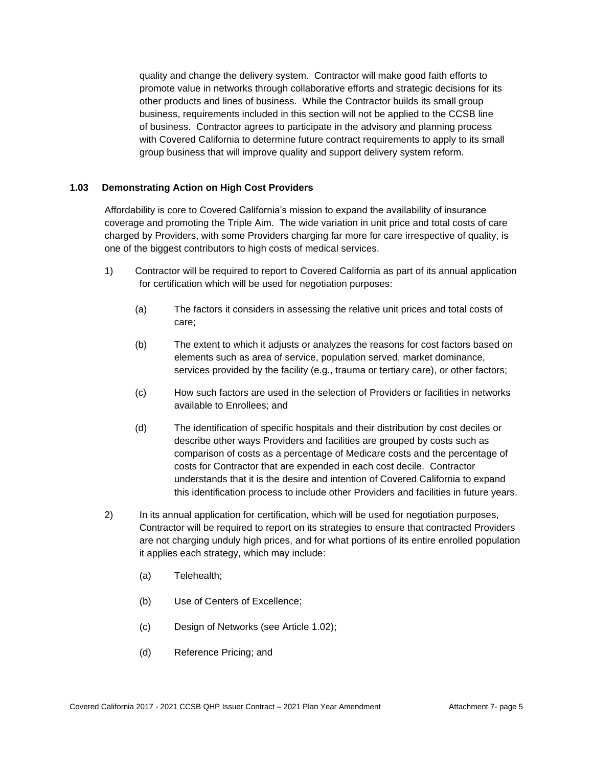quality and change the delivery system. Contractor will make good faith efforts to promote value in networks through collaborative efforts and strategic decisions for its other products and lines of business. While the Contractor builds its small group business, requirements included in this section will not be applied to the CCSB line of business. Contractor agrees to participate in the advisory and planning process with Covered California to determine future contract requirements to apply to its small group business that will improve quality and support delivery system reform.

### **1.03 Demonstrating Action on High Cost Providers**

Affordability is core to Covered California's mission to expand the availability of insurance coverage and promoting the Triple Aim. The wide variation in unit price and total costs of care charged by Providers, with some Providers charging far more for care irrespective of quality, is one of the biggest contributors to high costs of medical services.

- 1) Contractor will be required to report to Covered California as part of its annual application for certification which will be used for negotiation purposes:
	- (a) The factors it considers in assessing the relative unit prices and total costs of care;
	- (b) The extent to which it adjusts or analyzes the reasons for cost factors based on elements such as area of service, population served, market dominance, services provided by the facility (e.g., trauma or tertiary care), or other factors;
	- (c) How such factors are used in the selection of Providers or facilities in networks available to Enrollees; and
	- (d) The identification of specific hospitals and their distribution by cost deciles or describe other ways Providers and facilities are grouped by costs such as comparison of costs as a percentage of Medicare costs and the percentage of costs for Contractor that are expended in each cost decile. Contractor understands that it is the desire and intention of Covered California to expand this identification process to include other Providers and facilities in future years.
- 2) In its annual application for certification, which will be used for negotiation purposes, Contractor will be required to report on its strategies to ensure that contracted Providers are not charging unduly high prices, and for what portions of its entire enrolled population it applies each strategy, which may include:
	- (a) Telehealth;
	- (b) Use of Centers of Excellence;
	- (c) Design of Networks (see Article 1.02);
	- (d) Reference Pricing; and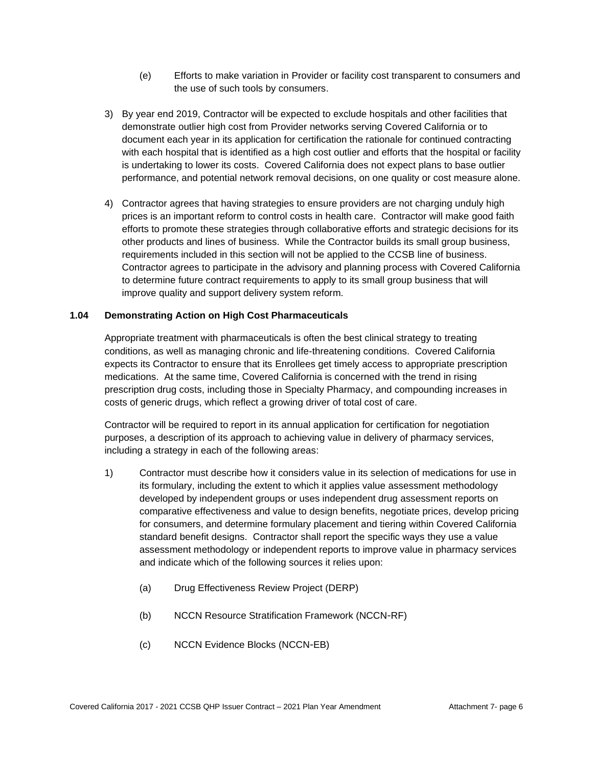- (e) Efforts to make variation in Provider or facility cost transparent to consumers and the use of such tools by consumers.
- 3) By year end 2019, Contractor will be expected to exclude hospitals and other facilities that demonstrate outlier high cost from Provider networks serving Covered California or to document each year in its application for certification the rationale for continued contracting with each hospital that is identified as a high cost outlier and efforts that the hospital or facility is undertaking to lower its costs. Covered California does not expect plans to base outlier performance, and potential network removal decisions, on one quality or cost measure alone.
- 4) Contractor agrees that having strategies to ensure providers are not charging unduly high prices is an important reform to control costs in health care. Contractor will make good faith efforts to promote these strategies through collaborative efforts and strategic decisions for its other products and lines of business. While the Contractor builds its small group business, requirements included in this section will not be applied to the CCSB line of business. Contractor agrees to participate in the advisory and planning process with Covered California to determine future contract requirements to apply to its small group business that will improve quality and support delivery system reform.

### **1.04 Demonstrating Action on High Cost Pharmaceuticals**

Appropriate treatment with pharmaceuticals is often the best clinical strategy to treating conditions, as well as managing chronic and life-threatening conditions. Covered California expects its Contractor to ensure that its Enrollees get timely access to appropriate prescription medications. At the same time, Covered California is concerned with the trend in rising prescription drug costs, including those in Specialty Pharmacy, and compounding increases in costs of generic drugs, which reflect a growing driver of total cost of care.

Contractor will be required to report in its annual application for certification for negotiation purposes, a description of its approach to achieving value in delivery of pharmacy services, including a strategy in each of the following areas:

- 1) Contractor must describe how it considers value in its selection of medications for use in its formulary, including the extent to which it applies value assessment methodology developed by independent groups or uses independent drug assessment reports on comparative effectiveness and value to design benefits, negotiate prices, develop pricing for consumers, and determine formulary placement and tiering within Covered California standard benefit designs. Contractor shall report the specific ways they use a value assessment methodology or independent reports to improve value in pharmacy services and indicate which of the following sources it relies upon:
	- (a) Drug Effectiveness Review Project (DERP)
	- (b) NCCN Resource Stratification Framework (NCCN‐RF)
	- (c) NCCN Evidence Blocks (NCCN‐EB)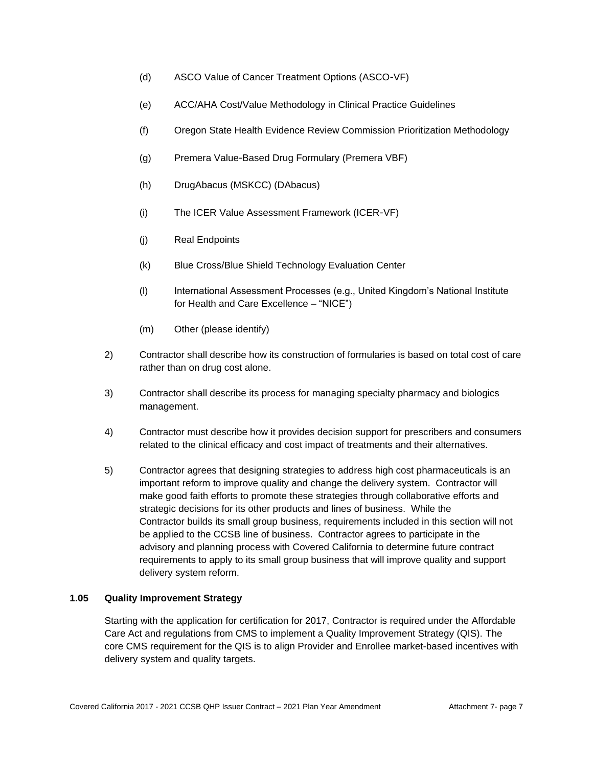- (d) ASCO Value of Cancer Treatment Options (ASCO‐VF)
- (e) ACC/AHA Cost/Value Methodology in Clinical Practice Guidelines
- (f) Oregon State Health Evidence Review Commission Prioritization Methodology
- (g) Premera Value‐Based Drug Formulary (Premera VBF)
- (h) DrugAbacus (MSKCC) (DAbacus)
- (i) The ICER Value Assessment Framework (ICER‐VF)
- (j) Real Endpoints
- (k) Blue Cross/Blue Shield Technology Evaluation Center
- (l) International Assessment Processes (e.g., United Kingdom's National Institute for Health and Care Excellence – "NICE")
- (m) Other (please identify)
- 2) Contractor shall describe how its construction of formularies is based on total cost of care rather than on drug cost alone.
- 3) Contractor shall describe its process for managing specialty pharmacy and biologics management.
- 4) Contractor must describe how it provides decision support for prescribers and consumers related to the clinical efficacy and cost impact of treatments and their alternatives.
- 5) Contractor agrees that designing strategies to address high cost pharmaceuticals is an important reform to improve quality and change the delivery system. Contractor will make good faith efforts to promote these strategies through collaborative efforts and strategic decisions for its other products and lines of business. While the Contractor builds its small group business, requirements included in this section will not be applied to the CCSB line of business. Contractor agrees to participate in the advisory and planning process with Covered California to determine future contract requirements to apply to its small group business that will improve quality and support delivery system reform.

# **1.05 Quality Improvement Strategy**

Starting with the application for certification for 2017, Contractor is required under the Affordable Care Act and regulations from CMS to implement a Quality Improvement Strategy (QIS). The core CMS requirement for the QIS is to align Provider and Enrollee market-based incentives with delivery system and quality targets.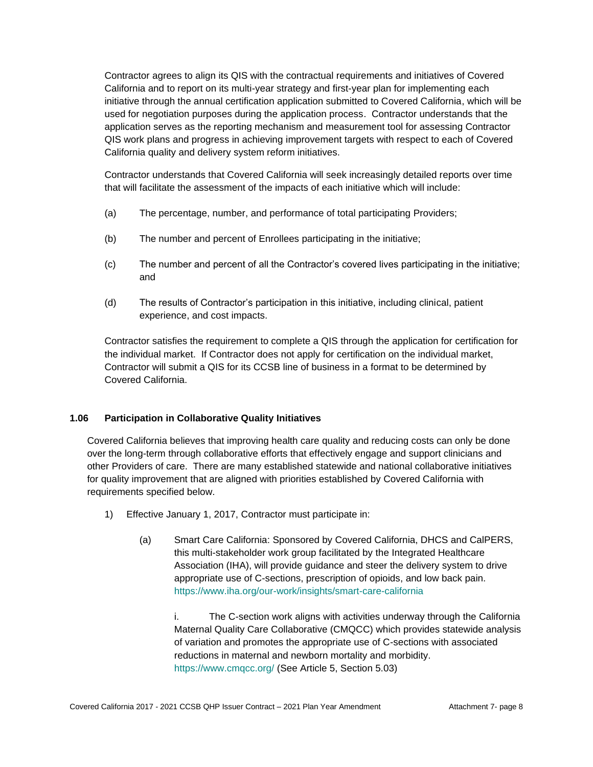Contractor agrees to align its QIS with the contractual requirements and initiatives of Covered California and to report on its multi-year strategy and first-year plan for implementing each initiative through the annual certification application submitted to Covered California, which will be used for negotiation purposes during the application process. Contractor understands that the application serves as the reporting mechanism and measurement tool for assessing Contractor QIS work plans and progress in achieving improvement targets with respect to each of Covered California quality and delivery system reform initiatives.

Contractor understands that Covered California will seek increasingly detailed reports over time that will facilitate the assessment of the impacts of each initiative which will include:

- (a) The percentage, number, and performance of total participating Providers;
- (b) The number and percent of Enrollees participating in the initiative;
- (c) The number and percent of all the Contractor's covered lives participating in the initiative; and
- (d) The results of Contractor's participation in this initiative, including clinical, patient experience, and cost impacts.

Contractor satisfies the requirement to complete a QIS through the application for certification for the individual market. If Contractor does not apply for certification on the individual market, Contractor will submit a QIS for its CCSB line of business in a format to be determined by Covered California.

#### **1.06 Participation in Collaborative Quality Initiatives**

Covered California believes that improving health care quality and reducing costs can only be done over the long-term through collaborative efforts that effectively engage and support clinicians and other Providers of care. There are many established statewide and national collaborative initiatives for quality improvement that are aligned with priorities established by Covered California with requirements specified below.

- 1) Effective January 1, 2017, Contractor must participate in:
	- (a) Smart Care California: Sponsored by Covered California, DHCS and CalPERS, this multi-stakeholder work group facilitated by the Integrated Healthcare Association (IHA), will provide guidance and steer the delivery system to drive appropriate use of C-sections, prescription of opioids, and low back pain. <https://www.iha.org/our-work/insights/smart-care-california>

i. The C-section work aligns with activities underway through the California Maternal Quality Care Collaborative (CMQCC) which provides statewide analysis of variation and promotes the appropriate use of C-sections with associated reductions in maternal and newborn mortality and morbidity. <https://www.cmqcc.org/> (See Article 5, Section 5.03)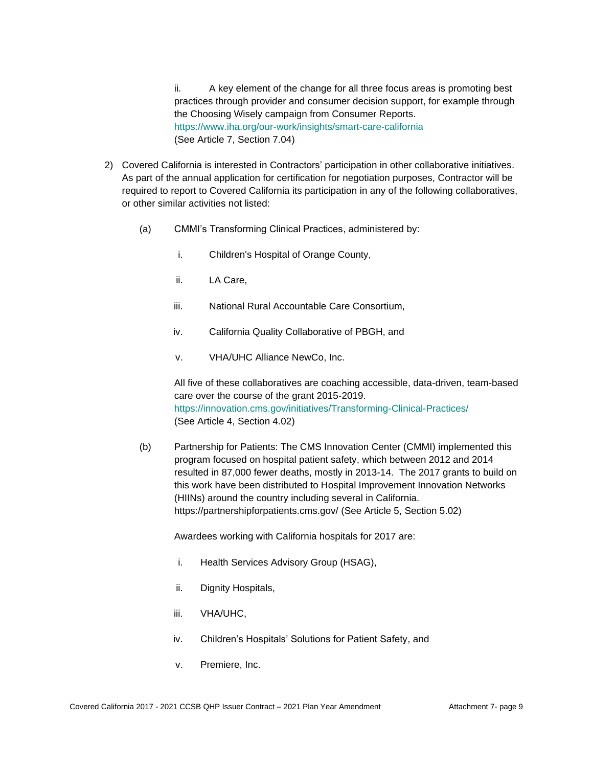ii. A key element of the change for all three focus areas is promoting best practices through provider and consumer decision support, for example through the Choosing Wisely campaign from Consumer Reports. <https://www.iha.org/our-work/insights/smart-care-california> (See Article 7, Section 7.04)

- 2) Covered California is interested in Contractors' participation in other collaborative initiatives. As part of the annual application for certification for negotiation purposes, Contractor will be required to report to Covered California its participation in any of the following collaboratives, or other similar activities not listed:
	- (a) CMMI's Transforming Clinical Practices, administered by:
		- i. Children's Hospital of Orange County,
		- ii. LA Care,
		- iii. National Rural Accountable Care Consortium,
		- iv. California Quality Collaborative of PBGH, and
		- v. VHA/UHC Alliance NewCo, Inc.

All five of these collaboratives are coaching accessible, data-driven, team-based care over the course of the grant 2015-2019. <https://innovation.cms.gov/initiatives/Transforming-Clinical-Practices/> (See Article 4, Section 4.02)

(b) Partnership for Patients: The CMS Innovation Center (CMMI) implemented this program focused on hospital patient safety, which between 2012 and 2014 resulted in 87,000 fewer deaths, mostly in 2013-14. The 2017 grants to build on this work have been distributed to Hospital Improvement Innovation Networks (HIINs) around the country including several in California. https://partnershipforpatients.cms.gov/ (See Article 5, Section 5.02)

Awardees working with California hospitals for 2017 are:

- i. Health Services Advisory Group (HSAG),
- ii. Dignity Hospitals,
- iii. VHA/UHC,
- iv. Children's Hospitals' Solutions for Patient Safety, and
- v. Premiere, Inc.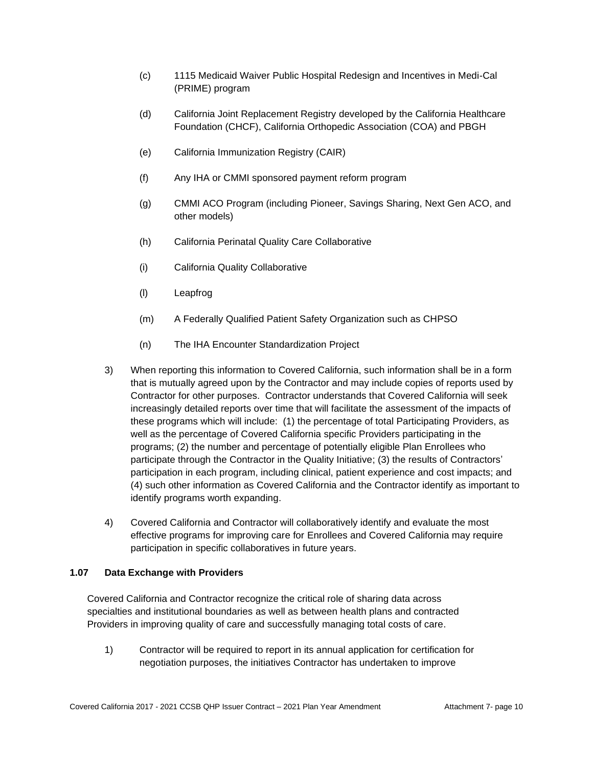- (c) 1115 Medicaid Waiver Public Hospital Redesign and Incentives in Medi-Cal (PRIME) program
- (d) California Joint Replacement Registry developed by the California Healthcare Foundation (CHCF), California Orthopedic Association (COA) and PBGH
- (e) California Immunization Registry (CAIR)
- (f) Any IHA or CMMI sponsored payment reform program
- (g) CMMI ACO Program (including Pioneer, Savings Sharing, Next Gen ACO, and other models)
- (h) California Perinatal Quality Care Collaborative
- (i) California Quality Collaborative
- (l) Leapfrog
- (m) A Federally Qualified Patient Safety Organization such as CHPSO
- (n) The IHA Encounter Standardization Project
- 3) When reporting this information to Covered California, such information shall be in a form that is mutually agreed upon by the Contractor and may include copies of reports used by Contractor for other purposes. Contractor understands that Covered California will seek increasingly detailed reports over time that will facilitate the assessment of the impacts of these programs which will include: (1) the percentage of total Participating Providers, as well as the percentage of Covered California specific Providers participating in the programs; (2) the number and percentage of potentially eligible Plan Enrollees who participate through the Contractor in the Quality Initiative; (3) the results of Contractors' participation in each program, including clinical, patient experience and cost impacts; and (4) such other information as Covered California and the Contractor identify as important to identify programs worth expanding.
- 4) Covered California and Contractor will collaboratively identify and evaluate the most effective programs for improving care for Enrollees and Covered California may require participation in specific collaboratives in future years.

# **1.07 Data Exchange with Providers**

Covered California and Contractor recognize the critical role of sharing data across specialties and institutional boundaries as well as between health plans and contracted Providers in improving quality of care and successfully managing total costs of care.

1) Contractor will be required to report in its annual application for certification for negotiation purposes, the initiatives Contractor has undertaken to improve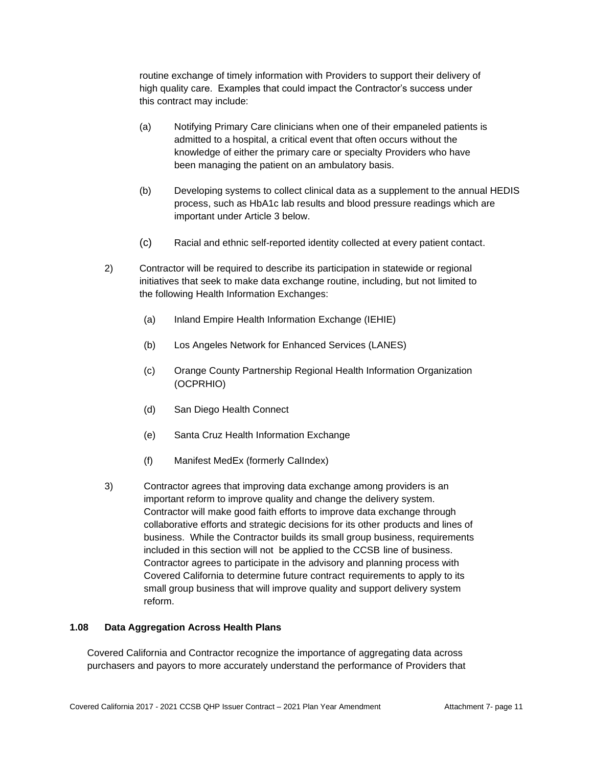routine exchange of timely information with Providers to support their delivery of high quality care. Examples that could impact the Contractor's success under this contract may include:

- (a) Notifying Primary Care clinicians when one of their empaneled patients is admitted to a hospital, a critical event that often occurs without the knowledge of either the primary care or specialty Providers who have been managing the patient on an ambulatory basis.
- (b) Developing systems to collect clinical data as a supplement to the annual HEDIS process, such as HbA1c lab results and blood pressure readings which are important under Article 3 below.
- (c) Racial and ethnic self-reported identity collected at every patient contact.
- 2) Contractor will be required to describe its participation in statewide or regional initiatives that seek to make data exchange routine, including, but not limited to the following Health Information Exchanges:
	- (a) Inland Empire Health Information Exchange (IEHIE)
	- (b) Los Angeles Network for Enhanced Services (LANES)
	- (c) Orange County Partnership Regional Health Information Organization (OCPRHIO)
	- (d) San Diego Health Connect
	- (e) Santa Cruz Health Information Exchange
	- (f) Manifest MedEx (formerly CalIndex)
- 3) Contractor agrees that improving data exchange among providers is an important reform to improve quality and change the delivery system. Contractor will make good faith efforts to improve data exchange through collaborative efforts and strategic decisions for its other products and lines of business. While the Contractor builds its small group business, requirements included in this section will not be applied to the CCSB line of business. Contractor agrees to participate in the advisory and planning process with Covered California to determine future contract requirements to apply to its small group business that will improve quality and support delivery system reform.

#### **1.08 Data Aggregation Across Health Plans**

Covered California and Contractor recognize the importance of aggregating data across purchasers and payors to more accurately understand the performance of Providers that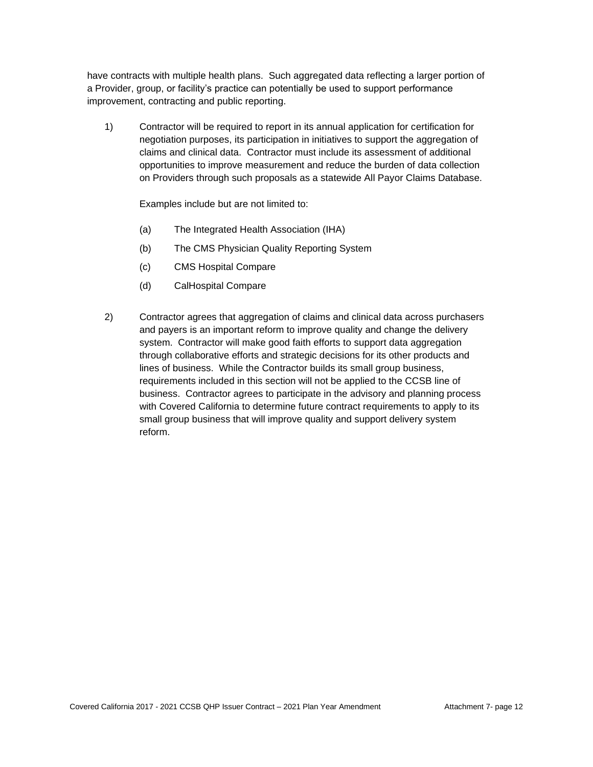have contracts with multiple health plans. Such aggregated data reflecting a larger portion of a Provider, group, or facility's practice can potentially be used to support performance improvement, contracting and public reporting.

1) Contractor will be required to report in its annual application for certification for negotiation purposes, its participation in initiatives to support the aggregation of claims and clinical data. Contractor must include its assessment of additional opportunities to improve measurement and reduce the burden of data collection on Providers through such proposals as a statewide All Payor Claims Database.

Examples include but are not limited to:

- (a) The Integrated Health Association (IHA)
- (b) The CMS Physician Quality Reporting System
- (c) CMS Hospital Compare
- (d) CalHospital Compare
- 2) Contractor agrees that aggregation of claims and clinical data across purchasers and payers is an important reform to improve quality and change the delivery system. Contractor will make good faith efforts to support data aggregation through collaborative efforts and strategic decisions for its other products and lines of business. While the Contractor builds its small group business, requirements included in this section will not be applied to the CCSB line of business. Contractor agrees to participate in the advisory and planning process with Covered California to determine future contract requirements to apply to its small group business that will improve quality and support delivery system reform.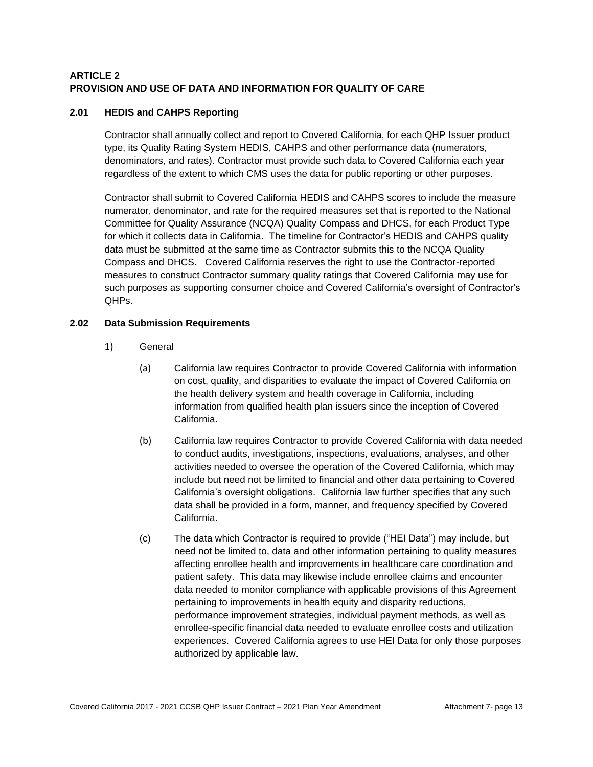# **ARTICLE 2 PROVISION AND USE OF DATA AND INFORMATION FOR QUALITY OF CARE**

# **2.01 HEDIS and CAHPS Reporting**

Contractor shall annually collect and report to Covered California, for each QHP Issuer product type, its Quality Rating System HEDIS, CAHPS and other performance data (numerators, denominators, and rates). Contractor must provide such data to Covered California each year regardless of the extent to which CMS uses the data for public reporting or other purposes.

Contractor shall submit to Covered California HEDIS and CAHPS scores to include the measure numerator, denominator, and rate for the required measures set that is reported to the National Committee for Quality Assurance (NCQA) Quality Compass and DHCS, for each Product Type for which it collects data in California. The timeline for Contractor's HEDIS and CAHPS quality data must be submitted at the same time as Contractor submits this to the NCQA Quality Compass and DHCS. Covered California reserves the right to use the Contractor-reported measures to construct Contractor summary quality ratings that Covered California may use for such purposes as supporting consumer choice and Covered California's oversight of Contractor's QHPs.

### **2.02 Data Submission Requirements**

- 1) General
	- (a) California law requires Contractor to provide Covered California with information on cost, quality, and disparities to evaluate the impact of Covered California on the health delivery system and health coverage in California, including information from qualified health plan issuers since the inception of Covered California.
	- (b) California law requires Contractor to provide Covered California with data needed to conduct audits, investigations, inspections, evaluations, analyses, and other activities needed to oversee the operation of the Covered California, which may include but need not be limited to financial and other data pertaining to Covered California's oversight obligations. California law further specifies that any such data shall be provided in a form, manner, and frequency specified by Covered California.
	- (c) The data which Contractor is required to provide ("HEI Data") may include, but need not be limited to, data and other information pertaining to quality measures affecting enrollee health and improvements in healthcare care coordination and patient safety. This data may likewise include enrollee claims and encounter data needed to monitor compliance with applicable provisions of this Agreement pertaining to improvements in health equity and disparity reductions, performance improvement strategies, individual payment methods, as well as enrollee-specific financial data needed to evaluate enrollee costs and utilization experiences. Covered California agrees to use HEI Data for only those purposes authorized by applicable law.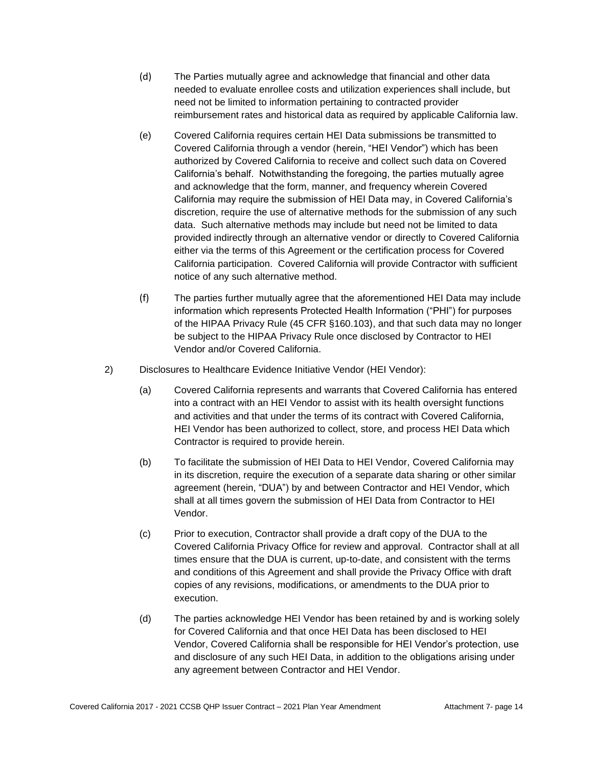- (d) The Parties mutually agree and acknowledge that financial and other data needed to evaluate enrollee costs and utilization experiences shall include, but need not be limited to information pertaining to contracted provider reimbursement rates and historical data as required by applicable California law.
- (e) Covered California requires certain HEI Data submissions be transmitted to Covered California through a vendor (herein, "HEI Vendor") which has been authorized by Covered California to receive and collect such data on Covered California's behalf. Notwithstanding the foregoing, the parties mutually agree and acknowledge that the form, manner, and frequency wherein Covered California may require the submission of HEI Data may, in Covered California's discretion, require the use of alternative methods for the submission of any such data. Such alternative methods may include but need not be limited to data provided indirectly through an alternative vendor or directly to Covered California either via the terms of this Agreement or the certification process for Covered California participation. Covered California will provide Contractor with sufficient notice of any such alternative method.
- (f) The parties further mutually agree that the aforementioned HEI Data may include information which represents Protected Health Information ("PHI") for purposes of the HIPAA Privacy Rule (45 CFR §160.103), and that such data may no longer be subject to the HIPAA Privacy Rule once disclosed by Contractor to HEI Vendor and/or Covered California.
- 2) Disclosures to Healthcare Evidence Initiative Vendor (HEI Vendor):
	- (a) Covered California represents and warrants that Covered California has entered into a contract with an HEI Vendor to assist with its health oversight functions and activities and that under the terms of its contract with Covered California, HEI Vendor has been authorized to collect, store, and process HEI Data which Contractor is required to provide herein.
	- (b) To facilitate the submission of HEI Data to HEI Vendor, Covered California may in its discretion, require the execution of a separate data sharing or other similar agreement (herein, "DUA") by and between Contractor and HEI Vendor, which shall at all times govern the submission of HEI Data from Contractor to HEI Vendor.
	- (c) Prior to execution, Contractor shall provide a draft copy of the DUA to the Covered California Privacy Office for review and approval. Contractor shall at all times ensure that the DUA is current, up-to-date, and consistent with the terms and conditions of this Agreement and shall provide the Privacy Office with draft copies of any revisions, modifications, or amendments to the DUA prior to execution.
	- (d) The parties acknowledge HEI Vendor has been retained by and is working solely for Covered California and that once HEI Data has been disclosed to HEI Vendor, Covered California shall be responsible for HEI Vendor's protection, use and disclosure of any such HEI Data, in addition to the obligations arising under any agreement between Contractor and HEI Vendor.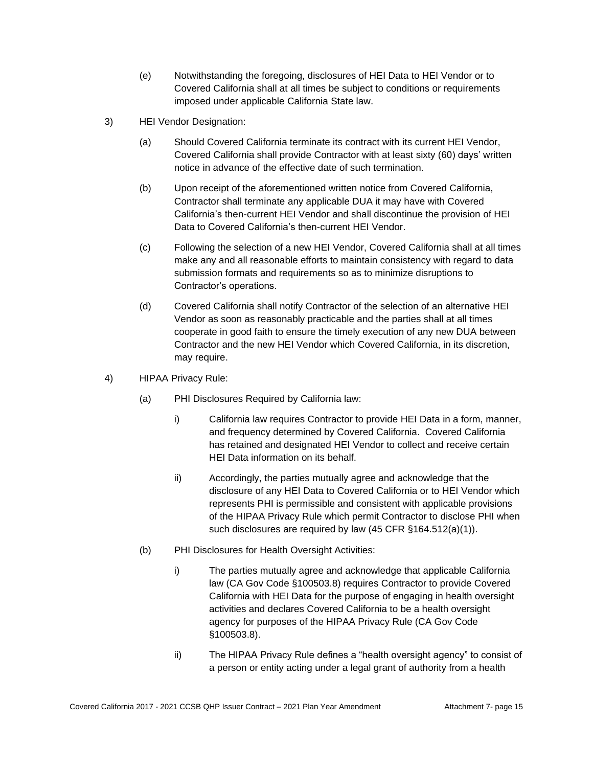- (e) Notwithstanding the foregoing, disclosures of HEI Data to HEI Vendor or to Covered California shall at all times be subject to conditions or requirements imposed under applicable California State law.
- 3) HEI Vendor Designation:
	- (a) Should Covered California terminate its contract with its current HEI Vendor, Covered California shall provide Contractor with at least sixty (60) days' written notice in advance of the effective date of such termination.
	- (b) Upon receipt of the aforementioned written notice from Covered California, Contractor shall terminate any applicable DUA it may have with Covered California's then-current HEI Vendor and shall discontinue the provision of HEI Data to Covered California's then-current HEI Vendor.
	- (c) Following the selection of a new HEI Vendor, Covered California shall at all times make any and all reasonable efforts to maintain consistency with regard to data submission formats and requirements so as to minimize disruptions to Contractor's operations.
	- (d) Covered California shall notify Contractor of the selection of an alternative HEI Vendor as soon as reasonably practicable and the parties shall at all times cooperate in good faith to ensure the timely execution of any new DUA between Contractor and the new HEI Vendor which Covered California, in its discretion, may require.
- 4) HIPAA Privacy Rule:
	- (a) PHI Disclosures Required by California law:
		- i) California law requires Contractor to provide HEI Data in a form, manner, and frequency determined by Covered California. Covered California has retained and designated HEI Vendor to collect and receive certain HEI Data information on its behalf.
		- ii) Accordingly, the parties mutually agree and acknowledge that the disclosure of any HEI Data to Covered California or to HEI Vendor which represents PHI is permissible and consistent with applicable provisions of the HIPAA Privacy Rule which permit Contractor to disclose PHI when such disclosures are required by law (45 CFR §164.512(a)(1)).
	- (b) PHI Disclosures for Health Oversight Activities:
		- i) The parties mutually agree and acknowledge that applicable California law (CA Gov Code §100503.8) requires Contractor to provide Covered California with HEI Data for the purpose of engaging in health oversight activities and declares Covered California to be a health oversight agency for purposes of the HIPAA Privacy Rule (CA Gov Code §100503.8).
		- ii) The HIPAA Privacy Rule defines a "health oversight agency" to consist of a person or entity acting under a legal grant of authority from a health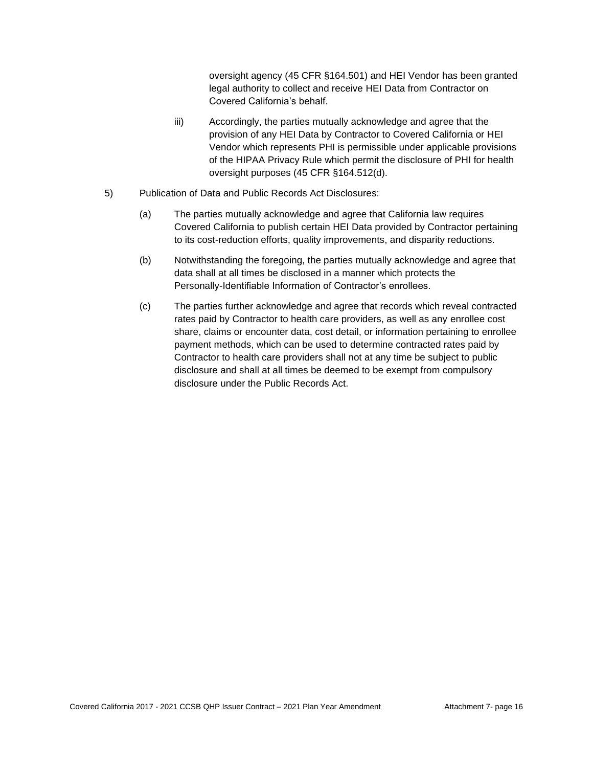oversight agency (45 CFR §164.501) and HEI Vendor has been granted legal authority to collect and receive HEI Data from Contractor on Covered California's behalf.

- iii) Accordingly, the parties mutually acknowledge and agree that the provision of any HEI Data by Contractor to Covered California or HEI Vendor which represents PHI is permissible under applicable provisions of the HIPAA Privacy Rule which permit the disclosure of PHI for health oversight purposes (45 CFR §164.512(d).
- 5) Publication of Data and Public Records Act Disclosures:
	- (a) The parties mutually acknowledge and agree that California law requires Covered California to publish certain HEI Data provided by Contractor pertaining to its cost-reduction efforts, quality improvements, and disparity reductions.
	- (b) Notwithstanding the foregoing, the parties mutually acknowledge and agree that data shall at all times be disclosed in a manner which protects the Personally-Identifiable Information of Contractor's enrollees.
	- (c) The parties further acknowledge and agree that records which reveal contracted rates paid by Contractor to health care providers, as well as any enrollee cost share, claims or encounter data, cost detail, or information pertaining to enrollee payment methods, which can be used to determine contracted rates paid by Contractor to health care providers shall not at any time be subject to public disclosure and shall at all times be deemed to be exempt from compulsory disclosure under the Public Records Act.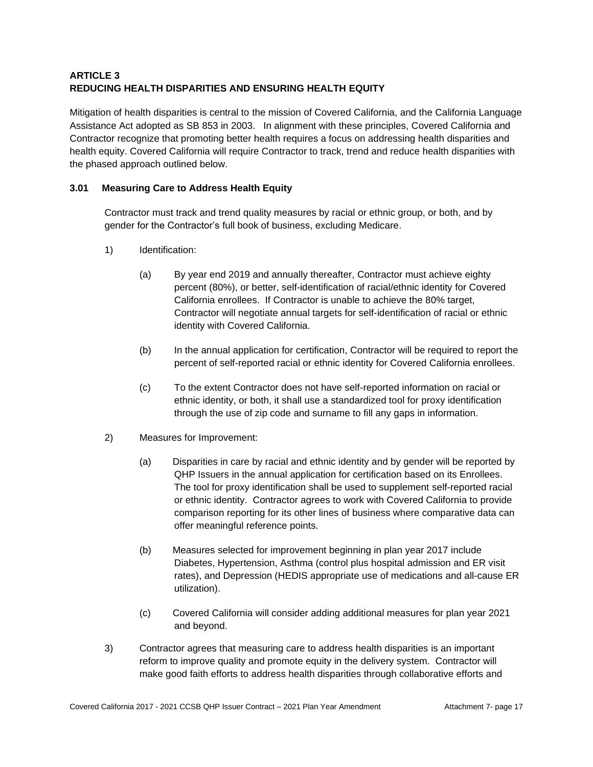# **ARTICLE 3 REDUCING HEALTH DISPARITIES AND ENSURING HEALTH EQUITY**

Mitigation of health disparities is central to the mission of Covered California, and the California Language Assistance Act adopted as SB 853 in 2003. In alignment with these principles, Covered California and Contractor recognize that promoting better health requires a focus on addressing health disparities and health equity. Covered California will require Contractor to track, trend and reduce health disparities with the phased approach outlined below.

# **3.01 Measuring Care to Address Health Equity**

Contractor must track and trend quality measures by racial or ethnic group, or both, and by gender for the Contractor's full book of business, excluding Medicare.

- 1) Identification:
	- (a) By year end 2019 and annually thereafter, Contractor must achieve eighty percent (80%), or better, self-identification of racial/ethnic identity for Covered California enrollees. If Contractor is unable to achieve the 80% target, Contractor will negotiate annual targets for self-identification of racial or ethnic identity with Covered California.
	- (b) In the annual application for certification, Contractor will be required to report the percent of self-reported racial or ethnic identity for Covered California enrollees.
	- (c) To the extent Contractor does not have self-reported information on racial or ethnic identity, or both, it shall use a standardized tool for proxy identification through the use of zip code and surname to fill any gaps in information.
- 2) Measures for Improvement:
	- (a) Disparities in care by racial and ethnic identity and by gender will be reported by QHP Issuers in the annual application for certification based on its Enrollees. The tool for proxy identification shall be used to supplement self-reported racial or ethnic identity. Contractor agrees to work with Covered California to provide comparison reporting for its other lines of business where comparative data can offer meaningful reference points.
	- (b) Measures selected for improvement beginning in plan year 2017 include Diabetes, Hypertension, Asthma (control plus hospital admission and ER visit rates), and Depression (HEDIS appropriate use of medications and all-cause ER utilization).
	- (c) Covered California will consider adding additional measures for plan year 2021 and beyond.
- 3) Contractor agrees that measuring care to address health disparities is an important reform to improve quality and promote equity in the delivery system. Contractor will make good faith efforts to address health disparities through collaborative efforts and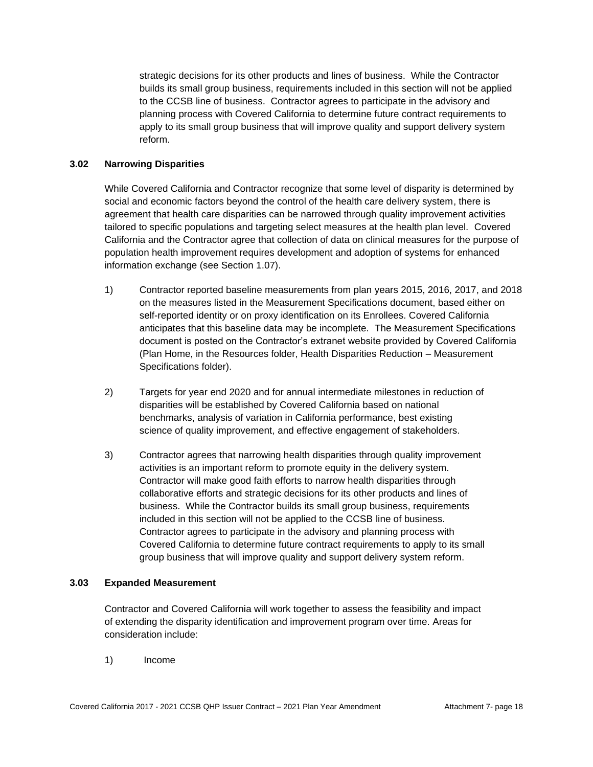strategic decisions for its other products and lines of business. While the Contractor builds its small group business, requirements included in this section will not be applied to the CCSB line of business. Contractor agrees to participate in the advisory and planning process with Covered California to determine future contract requirements to apply to its small group business that will improve quality and support delivery system reform.

### **3.02 Narrowing Disparities**

While Covered California and Contractor recognize that some level of disparity is determined by social and economic factors beyond the control of the health care delivery system, there is agreement that health care disparities can be narrowed through quality improvement activities tailored to specific populations and targeting select measures at the health plan level. Covered California and the Contractor agree that collection of data on clinical measures for the purpose of population health improvement requires development and adoption of systems for enhanced information exchange (see Section 1.07).

- 1) Contractor reported baseline measurements from plan years 2015, 2016, 2017, and 2018 on the measures listed in the Measurement Specifications document, based either on self-reported identity or on proxy identification on its Enrollees. Covered California anticipates that this baseline data may be incomplete. The Measurement Specifications document is posted on the Contractor's extranet website provided by Covered California (Plan Home, in the Resources folder, Health Disparities Reduction – Measurement Specifications folder).
- 2) Targets for year end 2020 and for annual intermediate milestones in reduction of disparities will be established by Covered California based on national benchmarks, analysis of variation in California performance, best existing science of quality improvement, and effective engagement of stakeholders.
- 3) Contractor agrees that narrowing health disparities through quality improvement activities is an important reform to promote equity in the delivery system. Contractor will make good faith efforts to narrow health disparities through collaborative efforts and strategic decisions for its other products and lines of business. While the Contractor builds its small group business, requirements included in this section will not be applied to the CCSB line of business. Contractor agrees to participate in the advisory and planning process with Covered California to determine future contract requirements to apply to its small group business that will improve quality and support delivery system reform.

#### **3.03 Expanded Measurement**

Contractor and Covered California will work together to assess the feasibility and impact of extending the disparity identification and improvement program over time. Areas for consideration include:

1) Income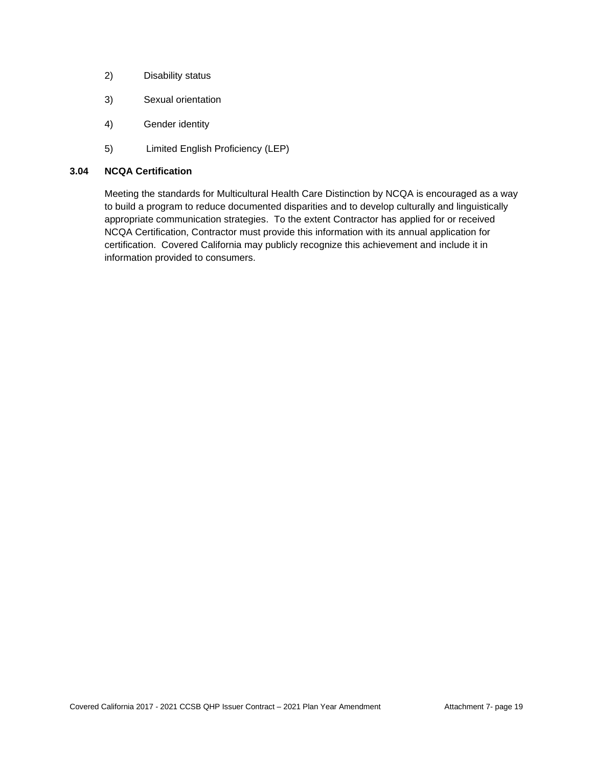- 2) Disability status
- 3) Sexual orientation
- 4) Gender identity
- 5) Limited English Proficiency (LEP)

# **3.04 NCQA Certification**

Meeting the standards for Multicultural Health Care Distinction by NCQA is encouraged as a way to build a program to reduce documented disparities and to develop culturally and linguistically appropriate communication strategies. To the extent Contractor has applied for or received NCQA Certification, Contractor must provide this information with its annual application for certification. Covered California may publicly recognize this achievement and include it in information provided to consumers.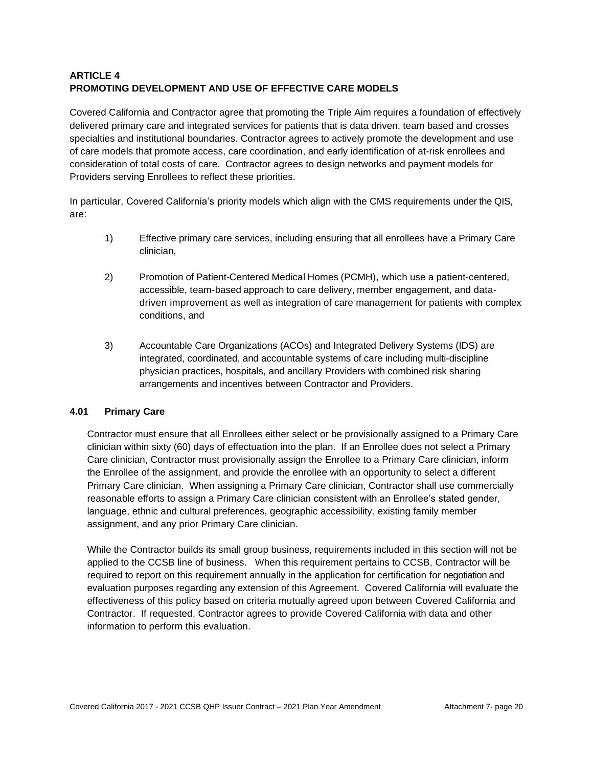# **ARTICLE 4 PROMOTING DEVELOPMENT AND USE OF EFFECTIVE CARE MODELS**

Covered California and Contractor agree that promoting the Triple Aim requires a foundation of effectively delivered primary care and integrated services for patients that is data driven, team based and crosses specialties and institutional boundaries. Contractor agrees to actively promote the development and use of care models that promote access, care coordination, and early identification of at-risk enrollees and consideration of total costs of care. Contractor agrees to design networks and payment models for Providers serving Enrollees to reflect these priorities.

In particular, Covered California's priority models which align with the CMS requirements under the QIS, are:

- 1) Effective primary care services, including ensuring that all enrollees have a Primary Care clinician,
- 2) Promotion of Patient-Centered Medical Homes (PCMH), which use a patient-centered, accessible, team-based approach to care delivery, member engagement, and datadriven improvement as well as integration of care management for patients with complex conditions, and
- 3) Accountable Care Organizations (ACOs) and Integrated Delivery Systems (IDS) are integrated, coordinated, and accountable systems of care including multi-discipline physician practices, hospitals, and ancillary Providers with combined risk sharing arrangements and incentives between Contractor and Providers.

# **4.01 Primary Care**

Contractor must ensure that all Enrollees either select or be provisionally assigned to a Primary Care clinician within sixty (60) days of effectuation into the plan. If an Enrollee does not select a Primary Care clinician, Contractor must provisionally assign the Enrollee to a Primary Care clinician, inform the Enrollee of the assignment, and provide the enrollee with an opportunity to select a different Primary Care clinician. When assigning a Primary Care clinician, Contractor shall use commercially reasonable efforts to assign a Primary Care clinician consistent with an Enrollee's stated gender, language, ethnic and cultural preferences, geographic accessibility, existing family member assignment, and any prior Primary Care clinician.

While the Contractor builds its small group business, requirements included in this section will not be applied to the CCSB line of business. When this requirement pertains to CCSB, Contractor will be required to report on this requirement annually in the application for certification for negotiation and evaluation purposes regarding any extension of this Agreement. Covered California will evaluate the effectiveness of this policy based on criteria mutually agreed upon between Covered California and Contractor. If requested, Contractor agrees to provide Covered California with data and other information to perform this evaluation.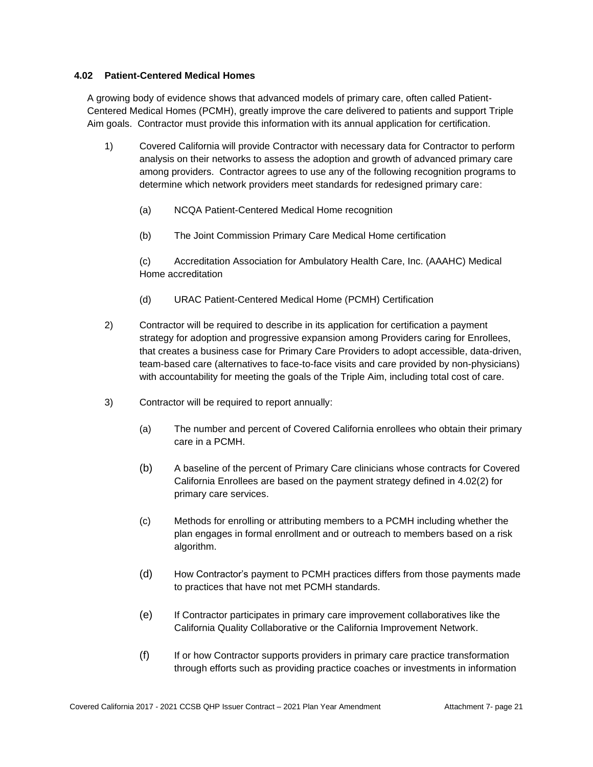### **4.02 Patient-Centered Medical Homes**

A growing body of evidence shows that advanced models of primary care, often called Patient-Centered Medical Homes (PCMH), greatly improve the care delivered to patients and support Triple Aim goals. Contractor must provide this information with its annual application for certification.

- 1) Covered California will provide Contractor with necessary data for Contractor to perform analysis on their networks to assess the adoption and growth of advanced primary care among providers. Contractor agrees to use any of the following recognition programs to determine which network providers meet standards for redesigned primary care:
	- (a) NCQA Patient-Centered Medical Home recognition
	- (b) The Joint Commission Primary Care Medical Home certification

(c) Accreditation Association for Ambulatory Health Care, Inc. (AAAHC) Medical Home accreditation

- (d) URAC Patient-Centered Medical Home (PCMH) Certification
- 2) Contractor will be required to describe in its application for certification a payment strategy for adoption and progressive expansion among Providers caring for Enrollees, that creates a business case for Primary Care Providers to adopt accessible, data-driven, team-based care (alternatives to face-to-face visits and care provided by non-physicians) with accountability for meeting the goals of the Triple Aim, including total cost of care.
- 3) Contractor will be required to report annually:
	- (a) The number and percent of Covered California enrollees who obtain their primary care in a PCMH.
	- (b) A baseline of the percent of Primary Care clinicians whose contracts for Covered California Enrollees are based on the payment strategy defined in 4.02(2) for primary care services.
	- (c) Methods for enrolling or attributing members to a PCMH including whether the plan engages in formal enrollment and or outreach to members based on a risk algorithm.
	- (d) How Contractor's payment to PCMH practices differs from those payments made to practices that have not met PCMH standards.
	- (e) If Contractor participates in primary care improvement collaboratives like the California Quality Collaborative or the California Improvement Network.
	- (f) If or how Contractor supports providers in primary care practice transformation through efforts such as providing practice coaches or investments in information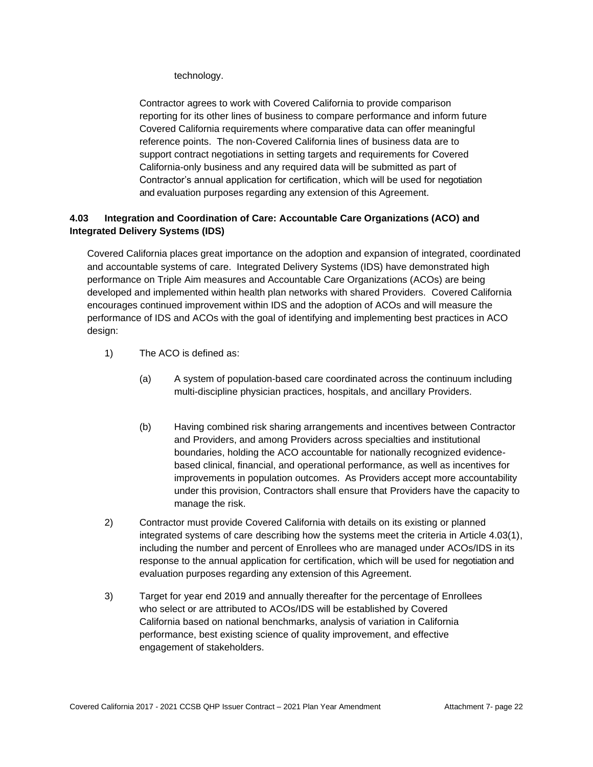technology.

Contractor agrees to work with Covered California to provide comparison reporting for its other lines of business to compare performance and inform future Covered California requirements where comparative data can offer meaningful reference points. The non-Covered California lines of business data are to support contract negotiations in setting targets and requirements for Covered California-only business and any required data will be submitted as part of Contractor's annual application for certification, which will be used for negotiation and evaluation purposes regarding any extension of this Agreement.

# **4.03 Integration and Coordination of Care: Accountable Care Organizations (ACO) and Integrated Delivery Systems (IDS)**

Covered California places great importance on the adoption and expansion of integrated, coordinated and accountable systems of care. Integrated Delivery Systems (IDS) have demonstrated high performance on Triple Aim measures and Accountable Care Organizations (ACOs) are being developed and implemented within health plan networks with shared Providers. Covered California encourages continued improvement within IDS and the adoption of ACOs and will measure the performance of IDS and ACOs with the goal of identifying and implementing best practices in ACO design:

- 1) The ACO is defined as:
	- (a) A system of population-based care coordinated across the continuum including multi-discipline physician practices, hospitals, and ancillary Providers.
	- (b) Having combined risk sharing arrangements and incentives between Contractor and Providers, and among Providers across specialties and institutional boundaries, holding the ACO accountable for nationally recognized evidencebased clinical, financial, and operational performance, as well as incentives for improvements in population outcomes. As Providers accept more accountability under this provision, Contractors shall ensure that Providers have the capacity to manage the risk.
- 2) Contractor must provide Covered California with details on its existing or planned integrated systems of care describing how the systems meet the criteria in Article 4.03(1), including the number and percent of Enrollees who are managed under ACOs/IDS in its response to the annual application for certification, which will be used for negotiation and evaluation purposes regarding any extension of this Agreement.
- 3) Target for year end 2019 and annually thereafter for the percentage of Enrollees who select or are attributed to ACOs/IDS will be established by Covered California based on national benchmarks, analysis of variation in California performance, best existing science of quality improvement, and effective engagement of stakeholders.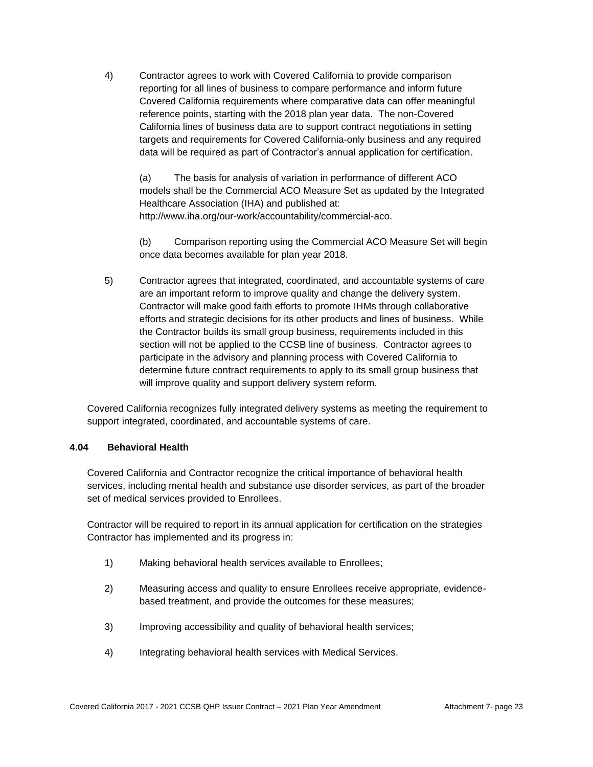4) Contractor agrees to work with Covered California to provide comparison reporting for all lines of business to compare performance and inform future Covered California requirements where comparative data can offer meaningful reference points, starting with the 2018 plan year data. The non-Covered California lines of business data are to support contract negotiations in setting targets and requirements for Covered California-only business and any required data will be required as part of Contractor's annual application for certification.

(a) The basis for analysis of variation in performance of different ACO models shall be the Commercial ACO Measure Set as updated by the Integrated Healthcare Association (IHA) and published at: http://www.iha.org/our-work/accountability/commercial-aco.

(b) Comparison reporting using the Commercial ACO Measure Set will begin once data becomes available for plan year 2018.

5) Contractor agrees that integrated, coordinated, and accountable systems of care are an important reform to improve quality and change the delivery system. Contractor will make good faith efforts to promote IHMs through collaborative efforts and strategic decisions for its other products and lines of business. While the Contractor builds its small group business, requirements included in this section will not be applied to the CCSB line of business. Contractor agrees to participate in the advisory and planning process with Covered California to determine future contract requirements to apply to its small group business that will improve quality and support delivery system reform.

Covered California recognizes fully integrated delivery systems as meeting the requirement to support integrated, coordinated, and accountable systems of care.

### **4.04 Behavioral Health**

Covered California and Contractor recognize the critical importance of behavioral health services, including mental health and substance use disorder services, as part of the broader set of medical services provided to Enrollees.

Contractor will be required to report in its annual application for certification on the strategies Contractor has implemented and its progress in:

- 1) Making behavioral health services available to Enrollees;
- 2) Measuring access and quality to ensure Enrollees receive appropriate, evidencebased treatment, and provide the outcomes for these measures;
- 3) Improving accessibility and quality of behavioral health services;
- 4) Integrating behavioral health services with Medical Services.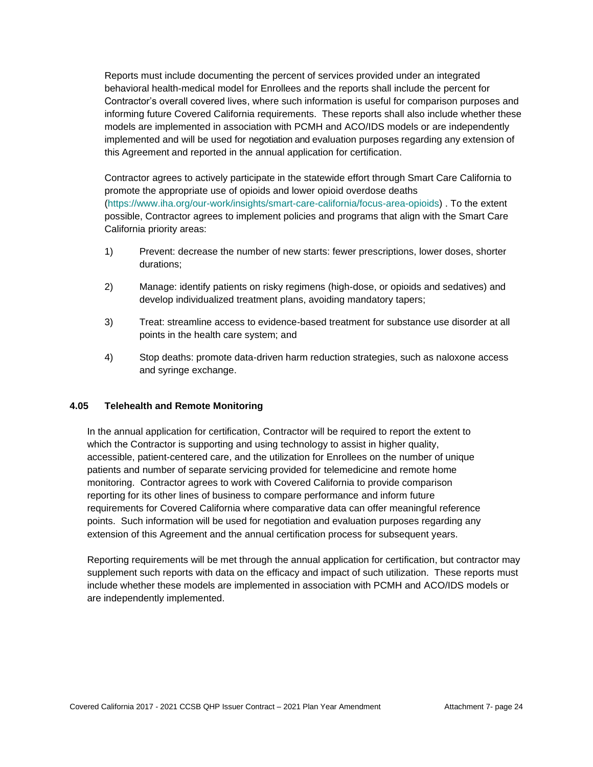Reports must include documenting the percent of services provided under an integrated behavioral health-medical model for Enrollees and the reports shall include the percent for Contractor's overall covered lives, where such information is useful for comparison purposes and informing future Covered California requirements. These reports shall also include whether these models are implemented in association with PCMH and ACO/IDS models or are independently implemented and will be used for negotiation and evaluation purposes regarding any extension of this Agreement and reported in the annual application for certification.

Contractor agrees to actively participate in the statewide effort through Smart Care California to promote the appropriate use of opioids and lower opioid overdose deaths [\(https://www.iha.org/our-work/insights/smart-care-california/focus-area-opioids\)](https://www.iha.org/our-work/insights/smart-care-california/focus-area-opioids) . To the extent possible, Contractor agrees to implement policies and programs that align with the Smart Care California priority areas:

- 1) Prevent: decrease the number of new starts: fewer prescriptions, lower doses, shorter durations;
- 2) Manage: identify patients on risky regimens (high-dose, or opioids and sedatives) and develop individualized treatment plans, avoiding mandatory tapers;
- 3) Treat: streamline access to evidence-based treatment for substance use disorder at all points in the health care system; and
- 4) Stop deaths: promote data-driven harm reduction strategies, such as naloxone access and syringe exchange.

### **4.05 Telehealth and Remote Monitoring**

In the annual application for certification, Contractor will be required to report the extent to which the Contractor is supporting and using technology to assist in higher quality, accessible, patient-centered care, and the utilization for Enrollees on the number of unique patients and number of separate servicing provided for telemedicine and remote home monitoring. Contractor agrees to work with Covered California to provide comparison reporting for its other lines of business to compare performance and inform future requirements for Covered California where comparative data can offer meaningful reference points. Such information will be used for negotiation and evaluation purposes regarding any extension of this Agreement and the annual certification process for subsequent years.

Reporting requirements will be met through the annual application for certification, but contractor may supplement such reports with data on the efficacy and impact of such utilization. These reports must include whether these models are implemented in association with PCMH and ACO/IDS models or are independently implemented.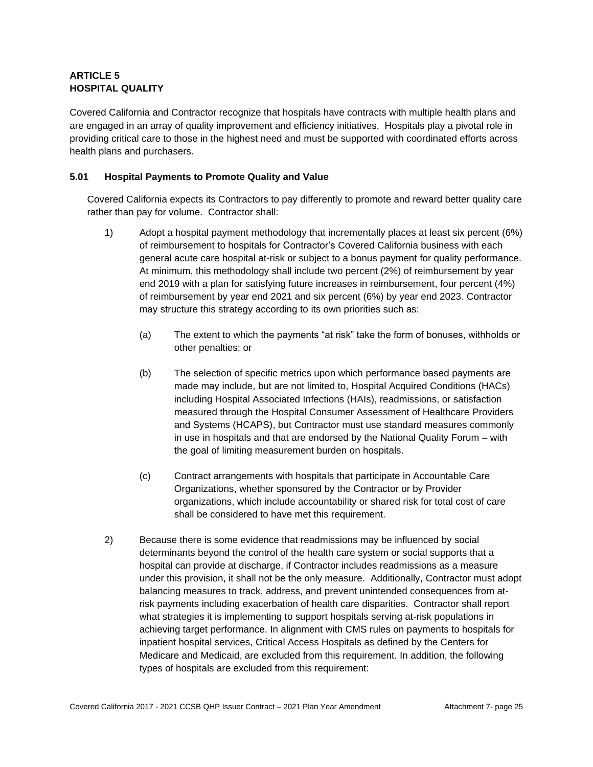# **ARTICLE 5 HOSPITAL QUALITY**

Covered California and Contractor recognize that hospitals have contracts with multiple health plans and are engaged in an array of quality improvement and efficiency initiatives. Hospitals play a pivotal role in providing critical care to those in the highest need and must be supported with coordinated efforts across health plans and purchasers.

# **5.01 Hospital Payments to Promote Quality and Value**

Covered California expects its Contractors to pay differently to promote and reward better quality care rather than pay for volume. Contractor shall:

- 1) Adopt a hospital payment methodology that incrementally places at least six percent (6%) of reimbursement to hospitals for Contractor's Covered California business with each general acute care hospital at-risk or subject to a bonus payment for quality performance. At minimum, this methodology shall include two percent (2%) of reimbursement by year end 2019 with a plan for satisfying future increases in reimbursement, four percent (4%) of reimbursement by year end 2021 and six percent (6%) by year end 2023. Contractor may structure this strategy according to its own priorities such as:
	- (a) The extent to which the payments "at risk" take the form of bonuses, withholds or other penalties; or
	- (b) The selection of specific metrics upon which performance based payments are made may include, but are not limited to, Hospital Acquired Conditions (HACs) including Hospital Associated Infections (HAIs), readmissions, or satisfaction measured through the Hospital Consumer Assessment of Healthcare Providers and Systems (HCAPS), but Contractor must use standard measures commonly in use in hospitals and that are endorsed by the National Quality Forum – with the goal of limiting measurement burden on hospitals.
	- (c) Contract arrangements with hospitals that participate in Accountable Care Organizations, whether sponsored by the Contractor or by Provider organizations, which include accountability or shared risk for total cost of care shall be considered to have met this requirement.
- 2) Because there is some evidence that readmissions may be influenced by social determinants beyond the control of the health care system or social supports that a hospital can provide at discharge, if Contractor includes readmissions as a measure under this provision, it shall not be the only measure. Additionally, Contractor must adopt balancing measures to track, address, and prevent unintended consequences from atrisk payments including exacerbation of health care disparities. Contractor shall report what strategies it is implementing to support hospitals serving at-risk populations in achieving target performance. In alignment with CMS rules on payments to hospitals for inpatient hospital services, Critical Access Hospitals as defined by the Centers for Medicare and Medicaid, are excluded from this requirement. In addition, the following types of hospitals are excluded from this requirement: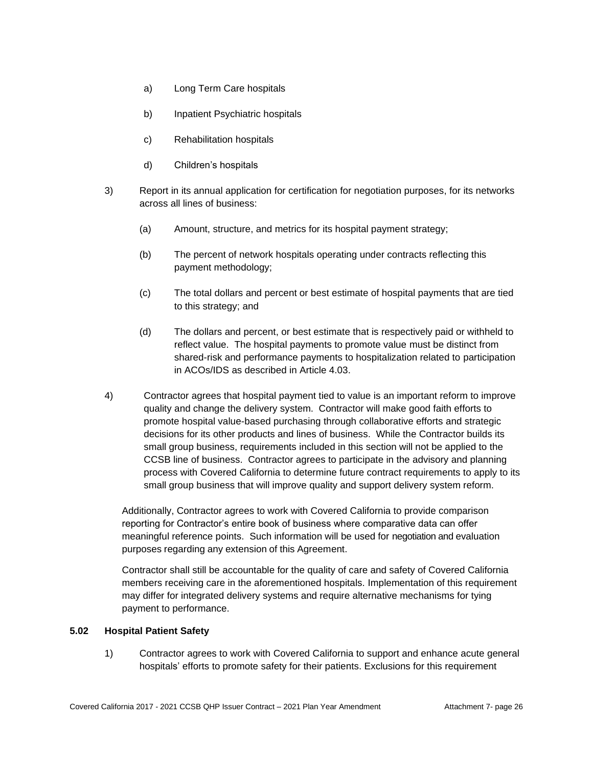- a) Long Term Care hospitals
- b) Inpatient Psychiatric hospitals
- c) Rehabilitation hospitals
- d) Children's hospitals
- 3) Report in its annual application for certification for negotiation purposes, for its networks across all lines of business:
	- (a) Amount, structure, and metrics for its hospital payment strategy;
	- (b) The percent of network hospitals operating under contracts reflecting this payment methodology;
	- (c) The total dollars and percent or best estimate of hospital payments that are tied to this strategy; and
	- (d) The dollars and percent, or best estimate that is respectively paid or withheld to reflect value. The hospital payments to promote value must be distinct from shared-risk and performance payments to hospitalization related to participation in ACOs/IDS as described in Article 4.03.
- 4) Contractor agrees that hospital payment tied to value is an important reform to improve quality and change the delivery system. Contractor will make good faith efforts to promote hospital value-based purchasing through collaborative efforts and strategic decisions for its other products and lines of business. While the Contractor builds its small group business, requirements included in this section will not be applied to the CCSB line of business. Contractor agrees to participate in the advisory and planning process with Covered California to determine future contract requirements to apply to its small group business that will improve quality and support delivery system reform.

Additionally, Contractor agrees to work with Covered California to provide comparison reporting for Contractor's entire book of business where comparative data can offer meaningful reference points. Such information will be used for negotiation and evaluation purposes regarding any extension of this Agreement.

Contractor shall still be accountable for the quality of care and safety of Covered California members receiving care in the aforementioned hospitals. Implementation of this requirement may differ for integrated delivery systems and require alternative mechanisms for tying payment to performance.

#### **5.02 Hospital Patient Safety**

1) Contractor agrees to work with Covered California to support and enhance acute general hospitals' efforts to promote safety for their patients. Exclusions for this requirement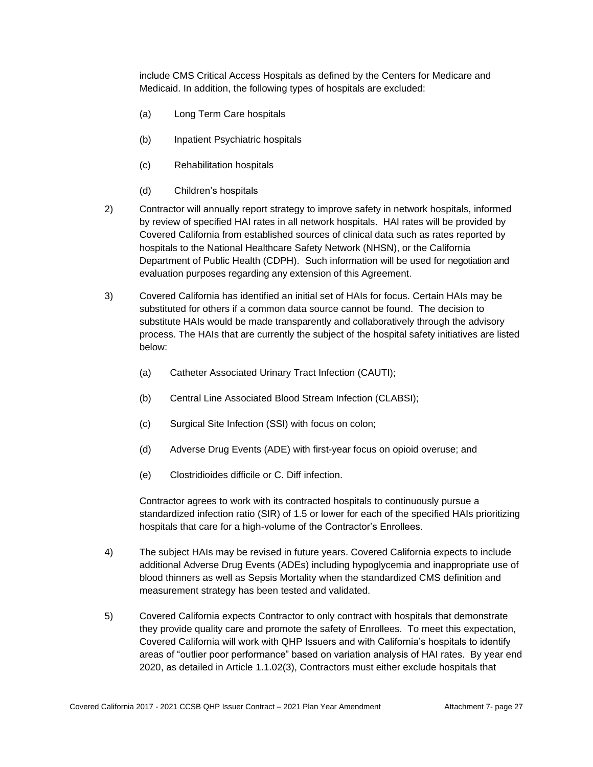include CMS Critical Access Hospitals as defined by the Centers for Medicare and Medicaid. In addition, the following types of hospitals are excluded:

- (a) Long Term Care hospitals
- (b) Inpatient Psychiatric hospitals
- (c) Rehabilitation hospitals
- (d) Children's hospitals
- 2) Contractor will annually report strategy to improve safety in network hospitals, informed by review of specified HAI rates in all network hospitals. HAI rates will be provided by Covered California from established sources of clinical data such as rates reported by hospitals to the National Healthcare Safety Network (NHSN), or the California Department of Public Health (CDPH). Such information will be used for negotiation and evaluation purposes regarding any extension of this Agreement.
- 3) Covered California has identified an initial set of HAIs for focus. Certain HAIs may be substituted for others if a common data source cannot be found. The decision to substitute HAIs would be made transparently and collaboratively through the advisory process. The HAIs that are currently the subject of the hospital safety initiatives are listed below:
	- (a) Catheter Associated Urinary Tract Infection (CAUTI);
	- (b) Central Line Associated Blood Stream Infection (CLABSI);
	- (c) Surgical Site Infection (SSI) with focus on colon;
	- (d) Adverse Drug Events (ADE) with first-year focus on opioid overuse; and
	- (e) Clostridioides difficile or C. Diff infection.

Contractor agrees to work with its contracted hospitals to continuously pursue a standardized infection ratio (SIR) of 1.5 or lower for each of the specified HAIs prioritizing hospitals that care for a high-volume of the Contractor's Enrollees.

- 4) The subject HAIs may be revised in future years. Covered California expects to include additional Adverse Drug Events (ADEs) including hypoglycemia and inappropriate use of blood thinners as well as Sepsis Mortality when the standardized CMS definition and measurement strategy has been tested and validated.
- 5) Covered California expects Contractor to only contract with hospitals that demonstrate they provide quality care and promote the safety of Enrollees. To meet this expectation, Covered California will work with QHP Issuers and with California's hospitals to identify areas of "outlier poor performance" based on variation analysis of HAI rates. By year end 2020, as detailed in Article 1.1.02(3), Contractors must either exclude hospitals that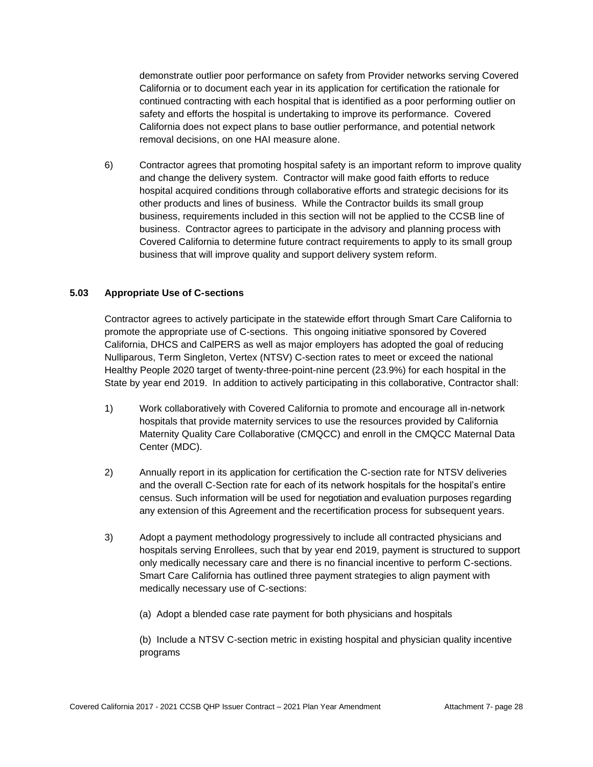demonstrate outlier poor performance on safety from Provider networks serving Covered California or to document each year in its application for certification the rationale for continued contracting with each hospital that is identified as a poor performing outlier on safety and efforts the hospital is undertaking to improve its performance. Covered California does not expect plans to base outlier performance, and potential network removal decisions, on one HAI measure alone.

6) Contractor agrees that promoting hospital safety is an important reform to improve quality and change the delivery system. Contractor will make good faith efforts to reduce hospital acquired conditions through collaborative efforts and strategic decisions for its other products and lines of business. While the Contractor builds its small group business, requirements included in this section will not be applied to the CCSB line of business. Contractor agrees to participate in the advisory and planning process with Covered California to determine future contract requirements to apply to its small group business that will improve quality and support delivery system reform.

# **5.03 Appropriate Use of C-sections**

Contractor agrees to actively participate in the statewide effort through Smart Care California to promote the appropriate use of C-sections. This ongoing initiative sponsored by Covered California, DHCS and CalPERS as well as major employers has adopted the goal of reducing Nulliparous, Term Singleton, Vertex (NTSV) C-section rates to meet or exceed the national Healthy People 2020 target of twenty-three-point-nine percent (23.9%) for each hospital in the State by year end 2019. In addition to actively participating in this collaborative, Contractor shall:

- 1) Work collaboratively with Covered California to promote and encourage all in-network hospitals that provide maternity services to use the resources provided by California Maternity Quality Care Collaborative (CMQCC) and enroll in the CMQCC Maternal Data Center (MDC).
- 2) Annually report in its application for certification the C-section rate for NTSV deliveries and the overall C-Section rate for each of its network hospitals for the hospital's entire census. Such information will be used for negotiation and evaluation purposes regarding any extension of this Agreement and the recertification process for subsequent years.
- 3) Adopt a payment methodology progressively to include all contracted physicians and hospitals serving Enrollees, such that by year end 2019, payment is structured to support only medically necessary care and there is no financial incentive to perform C-sections. Smart Care California has outlined three payment strategies to align payment with medically necessary use of C-sections:
	- (a) Adopt a blended case rate payment for both physicians and hospitals

(b) Include a NTSV C-section metric in existing hospital and physician quality incentive programs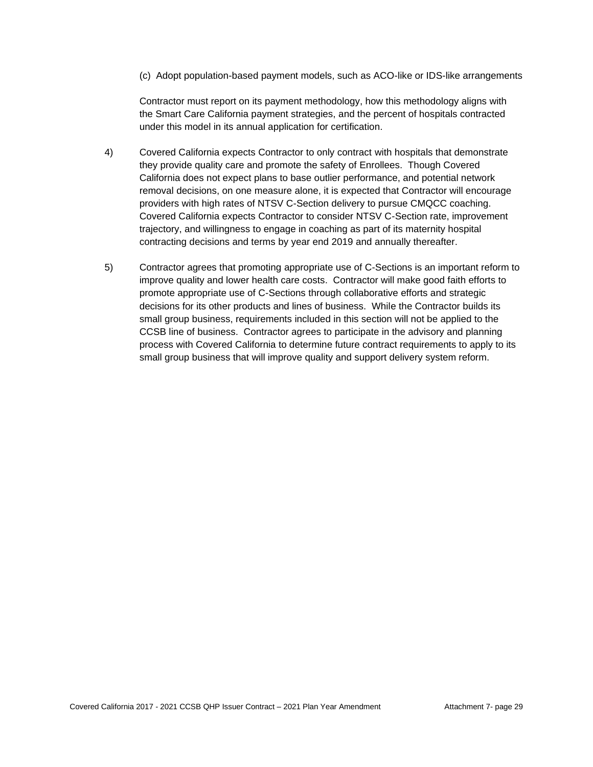(c) Adopt population-based payment models, such as ACO-like or IDS-like arrangements

Contractor must report on its payment methodology, how this methodology aligns with the Smart Care California payment strategies, and the percent of hospitals contracted under this model in its annual application for certification.

- 4) Covered California expects Contractor to only contract with hospitals that demonstrate they provide quality care and promote the safety of Enrollees. Though Covered California does not expect plans to base outlier performance, and potential network removal decisions, on one measure alone, it is expected that Contractor will encourage providers with high rates of NTSV C-Section delivery to pursue CMQCC coaching. Covered California expects Contractor to consider NTSV C-Section rate, improvement trajectory, and willingness to engage in coaching as part of its maternity hospital contracting decisions and terms by year end 2019 and annually thereafter.
- 5) Contractor agrees that promoting appropriate use of C-Sections is an important reform to improve quality and lower health care costs. Contractor will make good faith efforts to promote appropriate use of C-Sections through collaborative efforts and strategic decisions for its other products and lines of business. While the Contractor builds its small group business, requirements included in this section will not be applied to the CCSB line of business. Contractor agrees to participate in the advisory and planning process with Covered California to determine future contract requirements to apply to its small group business that will improve quality and support delivery system reform.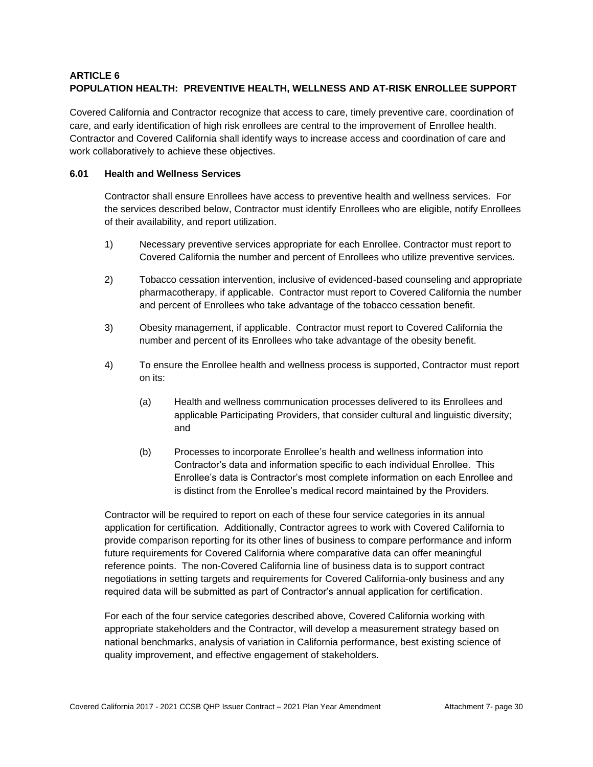# **ARTICLE 6 POPULATION HEALTH: PREVENTIVE HEALTH, WELLNESS AND AT-RISK ENROLLEE SUPPORT**

Covered California and Contractor recognize that access to care, timely preventive care, coordination of care, and early identification of high risk enrollees are central to the improvement of Enrollee health. Contractor and Covered California shall identify ways to increase access and coordination of care and work collaboratively to achieve these objectives.

### **6.01 Health and Wellness Services**

Contractor shall ensure Enrollees have access to preventive health and wellness services. For the services described below, Contractor must identify Enrollees who are eligible, notify Enrollees of their availability, and report utilization.

- 1) Necessary preventive services appropriate for each Enrollee. Contractor must report to Covered California the number and percent of Enrollees who utilize preventive services.
- 2) Tobacco cessation intervention, inclusive of evidenced-based counseling and appropriate pharmacotherapy, if applicable. Contractor must report to Covered California the number and percent of Enrollees who take advantage of the tobacco cessation benefit.
- 3) Obesity management, if applicable. Contractor must report to Covered California the number and percent of its Enrollees who take advantage of the obesity benefit.
- 4) To ensure the Enrollee health and wellness process is supported, Contractor must report on its:
	- (a) Health and wellness communication processes delivered to its Enrollees and applicable Participating Providers, that consider cultural and linguistic diversity; and
	- (b) Processes to incorporate Enrollee's health and wellness information into Contractor's data and information specific to each individual Enrollee. This Enrollee's data is Contractor's most complete information on each Enrollee and is distinct from the Enrollee's medical record maintained by the Providers.

Contractor will be required to report on each of these four service categories in its annual application for certification. Additionally, Contractor agrees to work with Covered California to provide comparison reporting for its other lines of business to compare performance and inform future requirements for Covered California where comparative data can offer meaningful reference points. The non-Covered California line of business data is to support contract negotiations in setting targets and requirements for Covered California-only business and any required data will be submitted as part of Contractor's annual application for certification.

For each of the four service categories described above, Covered California working with appropriate stakeholders and the Contractor, will develop a measurement strategy based on national benchmarks, analysis of variation in California performance, best existing science of quality improvement, and effective engagement of stakeholders.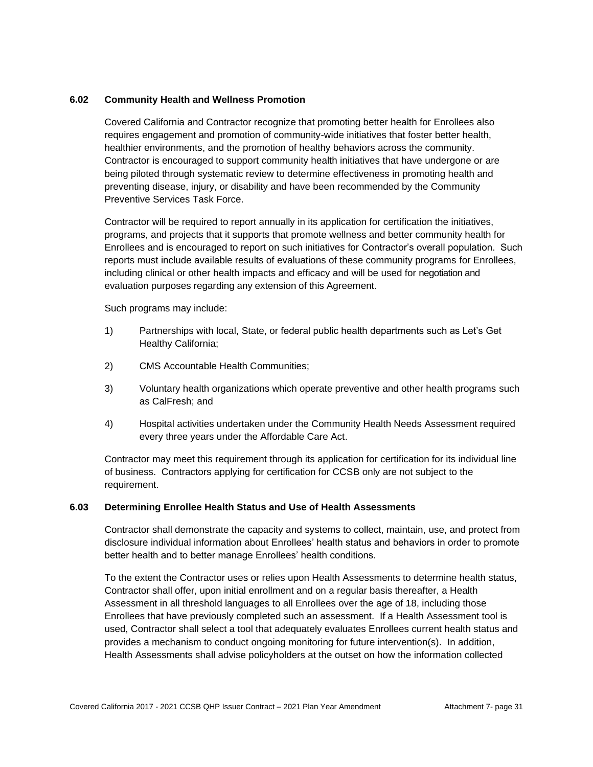#### **6.02 Community Health and Wellness Promotion**

Covered California and Contractor recognize that promoting better health for Enrollees also requires engagement and promotion of community-wide initiatives that foster better health, healthier environments, and the promotion of healthy behaviors across the community. Contractor is encouraged to support community health initiatives that have undergone or are being piloted through systematic review to determine effectiveness in promoting health and preventing disease, injury, or disability and have been recommended by the Community Preventive Services Task Force.

Contractor will be required to report annually in its application for certification the initiatives, programs, and projects that it supports that promote wellness and better community health for Enrollees and is encouraged to report on such initiatives for Contractor's overall population. Such reports must include available results of evaluations of these community programs for Enrollees, including clinical or other health impacts and efficacy and will be used for negotiation and evaluation purposes regarding any extension of this Agreement.

Such programs may include:

- 1) Partnerships with local, State, or federal public health departments such as Let's Get Healthy California;
- 2) CMS Accountable Health Communities;
- 3) Voluntary health organizations which operate preventive and other health programs such as CalFresh; and
- 4) Hospital activities undertaken under the Community Health Needs Assessment required every three years under the Affordable Care Act.

Contractor may meet this requirement through its application for certification for its individual line of business. Contractors applying for certification for CCSB only are not subject to the requirement.

#### **6.03 Determining Enrollee Health Status and Use of Health Assessments**

Contractor shall demonstrate the capacity and systems to collect, maintain, use, and protect from disclosure individual information about Enrollees' health status and behaviors in order to promote better health and to better manage Enrollees' health conditions.

To the extent the Contractor uses or relies upon Health Assessments to determine health status, Contractor shall offer, upon initial enrollment and on a regular basis thereafter, a Health Assessment in all threshold languages to all Enrollees over the age of 18, including those Enrollees that have previously completed such an assessment. If a Health Assessment tool is used, Contractor shall select a tool that adequately evaluates Enrollees current health status and provides a mechanism to conduct ongoing monitoring for future intervention(s). In addition, Health Assessments shall advise policyholders at the outset on how the information collected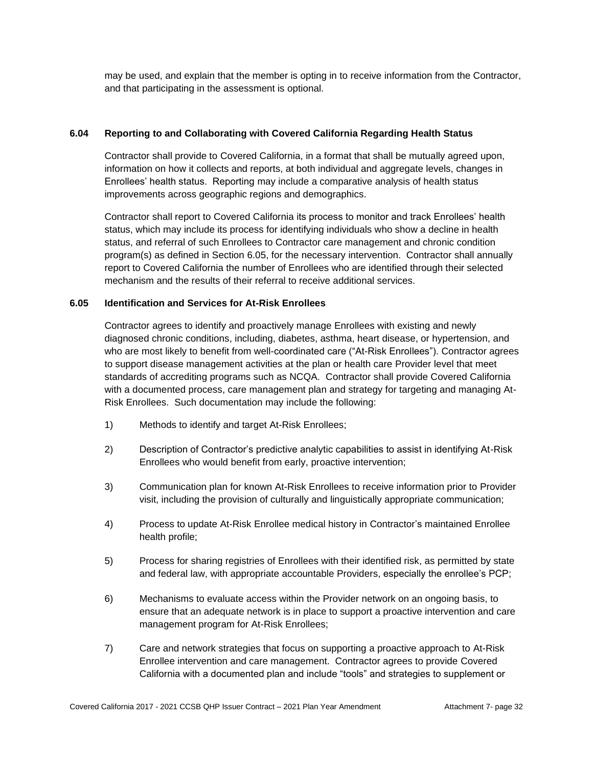may be used, and explain that the member is opting in to receive information from the Contractor, and that participating in the assessment is optional.

### **6.04 Reporting to and Collaborating with Covered California Regarding Health Status**

Contractor shall provide to Covered California, in a format that shall be mutually agreed upon, information on how it collects and reports, at both individual and aggregate levels, changes in Enrollees' health status. Reporting may include a comparative analysis of health status improvements across geographic regions and demographics.

Contractor shall report to Covered California its process to monitor and track Enrollees' health status, which may include its process for identifying individuals who show a decline in health status, and referral of such Enrollees to Contractor care management and chronic condition program(s) as defined in Section 6.05, for the necessary intervention. Contractor shall annually report to Covered California the number of Enrollees who are identified through their selected mechanism and the results of their referral to receive additional services.

### **6.05 Identification and Services for At-Risk Enrollees**

Contractor agrees to identify and proactively manage Enrollees with existing and newly diagnosed chronic conditions, including, diabetes, asthma, heart disease, or hypertension, and who are most likely to benefit from well-coordinated care ("At-Risk Enrollees"). Contractor agrees to support disease management activities at the plan or health care Provider level that meet standards of accrediting programs such as NCQA. Contractor shall provide Covered California with a documented process, care management plan and strategy for targeting and managing At-Risk Enrollees. Such documentation may include the following:

- 1) Methods to identify and target At-Risk Enrollees;
- 2) Description of Contractor's predictive analytic capabilities to assist in identifying At-Risk Enrollees who would benefit from early, proactive intervention;
- 3) Communication plan for known At-Risk Enrollees to receive information prior to Provider visit, including the provision of culturally and linguistically appropriate communication;
- 4) Process to update At-Risk Enrollee medical history in Contractor's maintained Enrollee health profile;
- 5) Process for sharing registries of Enrollees with their identified risk, as permitted by state and federal law, with appropriate accountable Providers, especially the enrollee's PCP;
- 6) Mechanisms to evaluate access within the Provider network on an ongoing basis, to ensure that an adequate network is in place to support a proactive intervention and care management program for At-Risk Enrollees;
- 7) Care and network strategies that focus on supporting a proactive approach to At-Risk Enrollee intervention and care management. Contractor agrees to provide Covered California with a documented plan and include "tools" and strategies to supplement or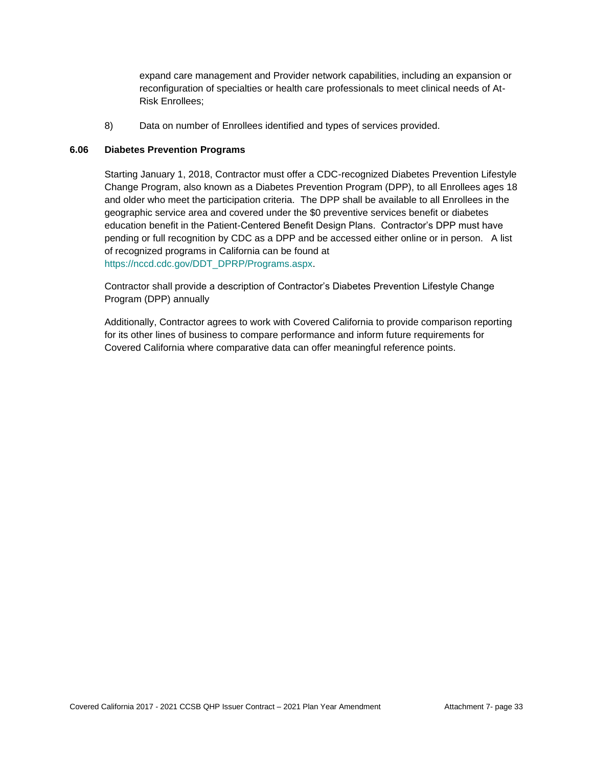expand care management and Provider network capabilities, including an expansion or reconfiguration of specialties or health care professionals to meet clinical needs of At-Risk Enrollees;

8) Data on number of Enrollees identified and types of services provided.

### **6.06 Diabetes Prevention Programs**

Starting January 1, 2018, Contractor must offer a CDC-recognized Diabetes Prevention Lifestyle Change Program, also known as a Diabetes Prevention Program (DPP), to all Enrollees ages 18 and older who meet the participation criteria. The DPP shall be available to all Enrollees in the geographic service area and covered under the \$0 preventive services benefit or diabetes education benefit in the Patient-Centered Benefit Design Plans. Contractor's DPP must have pending or full recognition by CDC as a DPP and be accessed either online or in person. A list of recognized programs in California can be found at [https://nccd.cdc.gov/DDT\\_DPRP/Programs.aspx.](https://nccd.cdc.gov/DDT_DPRP/Programs.aspx)

Contractor shall provide a description of Contractor's Diabetes Prevention Lifestyle Change Program (DPP) annually

Additionally, Contractor agrees to work with Covered California to provide comparison reporting for its other lines of business to compare performance and inform future requirements for Covered California where comparative data can offer meaningful reference points.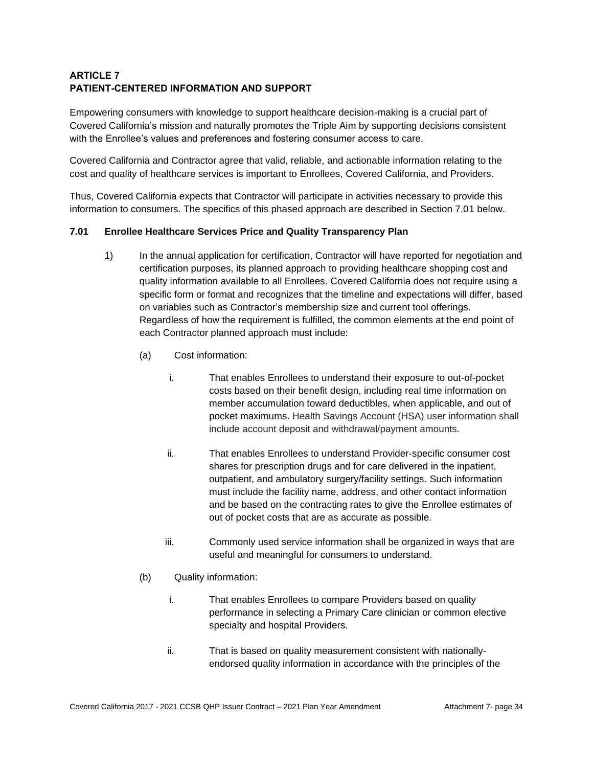# **ARTICLE 7 PATIENT-CENTERED INFORMATION AND SUPPORT**

Empowering consumers with knowledge to support healthcare decision-making is a crucial part of Covered California's mission and naturally promotes the Triple Aim by supporting decisions consistent with the Enrollee's values and preferences and fostering consumer access to care.

Covered California and Contractor agree that valid, reliable, and actionable information relating to the cost and quality of healthcare services is important to Enrollees, Covered California, and Providers.

Thus, Covered California expects that Contractor will participate in activities necessary to provide this information to consumers. The specifics of this phased approach are described in Section 7.01 below.

# **7.01 Enrollee Healthcare Services Price and Quality Transparency Plan**

- 1) In the annual application for certification, Contractor will have reported for negotiation and certification purposes, its planned approach to providing healthcare shopping cost and quality information available to all Enrollees. Covered California does not require using a specific form or format and recognizes that the timeline and expectations will differ, based on variables such as Contractor's membership size and current tool offerings. Regardless of how the requirement is fulfilled, the common elements at the end point of each Contractor planned approach must include:
	- (a) Cost information:
		- i. That enables Enrollees to understand their exposure to out-of-pocket costs based on their benefit design, including real time information on member accumulation toward deductibles, when applicable, and out of pocket maximums. Health Savings Account (HSA) user information shall include account deposit and withdrawal/payment amounts.
		- ii. That enables Enrollees to understand Provider-specific consumer cost shares for prescription drugs and for care delivered in the inpatient, outpatient, and ambulatory surgery/facility settings. Such information must include the facility name, address, and other contact information and be based on the contracting rates to give the Enrollee estimates of out of pocket costs that are as accurate as possible.
		- iii. Commonly used service information shall be organized in ways that are useful and meaningful for consumers to understand.
	- (b) Quality information:
		- i. That enables Enrollees to compare Providers based on quality performance in selecting a Primary Care clinician or common elective specialty and hospital Providers.
		- ii. That is based on quality measurement consistent with nationallyendorsed quality information in accordance with the principles of the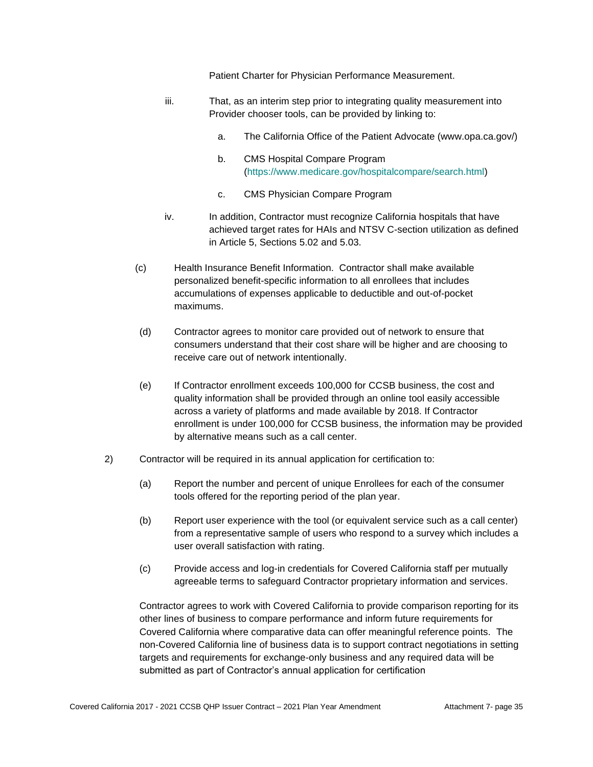Patient Charter for Physician Performance Measurement.

- iii. That, as an interim step prior to integrating quality measurement into Provider chooser tools, can be provided by linking to:
	- a. The California Office of the Patient Advocate (www.opa.ca.gov/)
	- b. CMS Hospital Compare Program [\(https://www.medicare.gov/hospitalcompare/search.html\)](https://www.medicare.gov/hospitalcompare/search.html)
	- c. CMS Physician Compare Program
- iv. In addition, Contractor must recognize California hospitals that have achieved target rates for HAIs and NTSV C-section utilization as defined in Article 5, Sections 5.02 and 5.03.
- (c) Health Insurance Benefit Information. Contractor shall make available personalized benefit-specific information to all enrollees that includes accumulations of expenses applicable to deductible and out-of-pocket maximums.
- (d) Contractor agrees to monitor care provided out of network to ensure that consumers understand that their cost share will be higher and are choosing to receive care out of network intentionally.
- (e) If Contractor enrollment exceeds 100,000 for CCSB business, the cost and quality information shall be provided through an online tool easily accessible across a variety of platforms and made available by 2018. If Contractor enrollment is under 100,000 for CCSB business, the information may be provided by alternative means such as a call center.
- 2) Contractor will be required in its annual application for certification to:
	- (a) Report the number and percent of unique Enrollees for each of the consumer tools offered for the reporting period of the plan year.
	- (b) Report user experience with the tool (or equivalent service such as a call center) from a representative sample of users who respond to a survey which includes a user overall satisfaction with rating.
	- (c) Provide access and log-in credentials for Covered California staff per mutually agreeable terms to safeguard Contractor proprietary information and services.

Contractor agrees to work with Covered California to provide comparison reporting for its other lines of business to compare performance and inform future requirements for Covered California where comparative data can offer meaningful reference points. The non-Covered California line of business data is to support contract negotiations in setting targets and requirements for exchange-only business and any required data will be submitted as part of Contractor's annual application for certification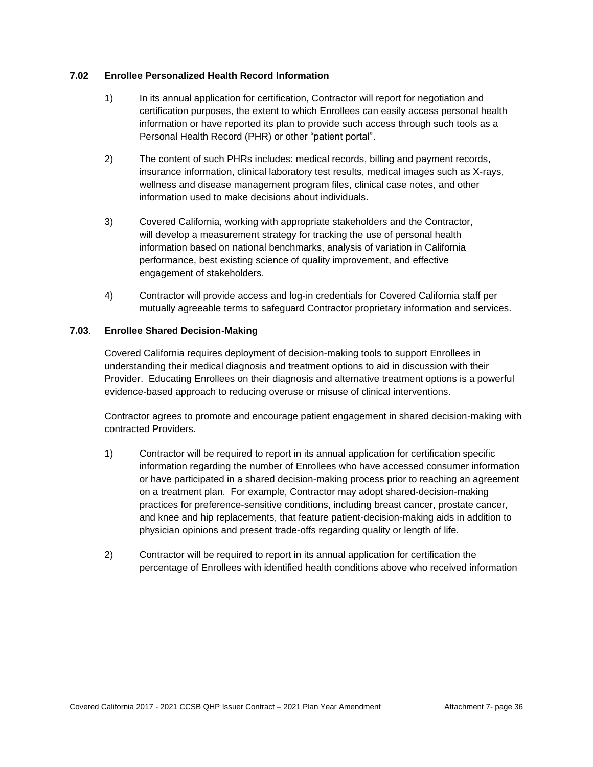### **7.02 Enrollee Personalized Health Record Information**

- 1) In its annual application for certification, Contractor will report for negotiation and certification purposes, the extent to which Enrollees can easily access personal health information or have reported its plan to provide such access through such tools as a Personal Health Record (PHR) or other "patient portal".
- 2) The content of such PHRs includes: medical records, billing and payment records, insurance information, clinical laboratory test results, medical images such as X-rays, wellness and disease management program files, clinical case notes, and other information used to make decisions about individuals.
- 3) Covered California, working with appropriate stakeholders and the Contractor, will develop a measurement strategy for tracking the use of personal health information based on national benchmarks, analysis of variation in California performance, best existing science of quality improvement, and effective engagement of stakeholders.
- 4) Contractor will provide access and log-in credentials for Covered California staff per mutually agreeable terms to safeguard Contractor proprietary information and services.

### **7.03**. **Enrollee Shared Decision-Making**

Covered California requires deployment of decision-making tools to support Enrollees in understanding their medical diagnosis and treatment options to aid in discussion with their Provider. Educating Enrollees on their diagnosis and alternative treatment options is a powerful evidence-based approach to reducing overuse or misuse of clinical interventions.

Contractor agrees to promote and encourage patient engagement in shared decision-making with contracted Providers.

- 1) Contractor will be required to report in its annual application for certification specific information regarding the number of Enrollees who have accessed consumer information or have participated in a shared decision-making process prior to reaching an agreement on a treatment plan. For example, Contractor may adopt shared-decision-making practices for preference-sensitive conditions, including breast cancer, prostate cancer, and knee and hip replacements, that feature patient-decision-making aids in addition to physician opinions and present trade-offs regarding quality or length of life.
- 2) Contractor will be required to report in its annual application for certification the percentage of Enrollees with identified health conditions above who received information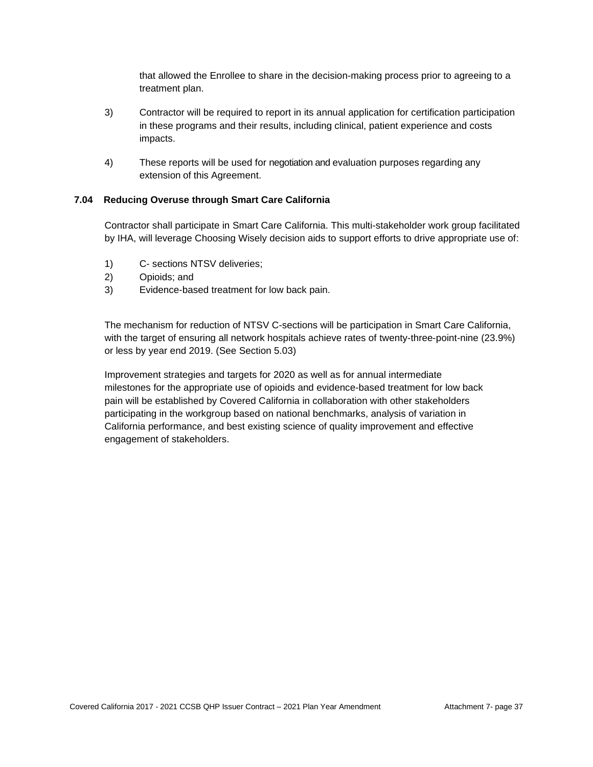that allowed the Enrollee to share in the decision-making process prior to agreeing to a treatment plan.

- 3) Contractor will be required to report in its annual application for certification participation in these programs and their results, including clinical, patient experience and costs impacts.
- 4) These reports will be used for negotiation and evaluation purposes regarding any extension of this Agreement.

### **7.04 Reducing Overuse through Smart Care California**

Contractor shall participate in Smart Care California. This multi-stakeholder work group facilitated by IHA, will leverage Choosing Wisely decision aids to support efforts to drive appropriate use of:

- 1) C- sections NTSV deliveries;
- 2) Opioids; and
- 3) Evidence-based treatment for low back pain.

The mechanism for reduction of NTSV C-sections will be participation in Smart Care California, with the target of ensuring all network hospitals achieve rates of twenty-three-point-nine (23.9%) or less by year end 2019. (See Section 5.03)

Improvement strategies and targets for 2020 as well as for annual intermediate milestones for the appropriate use of opioids and evidence-based treatment for low back pain will be established by Covered California in collaboration with other stakeholders participating in the workgroup based on national benchmarks, analysis of variation in California performance, and best existing science of quality improvement and effective engagement of stakeholders.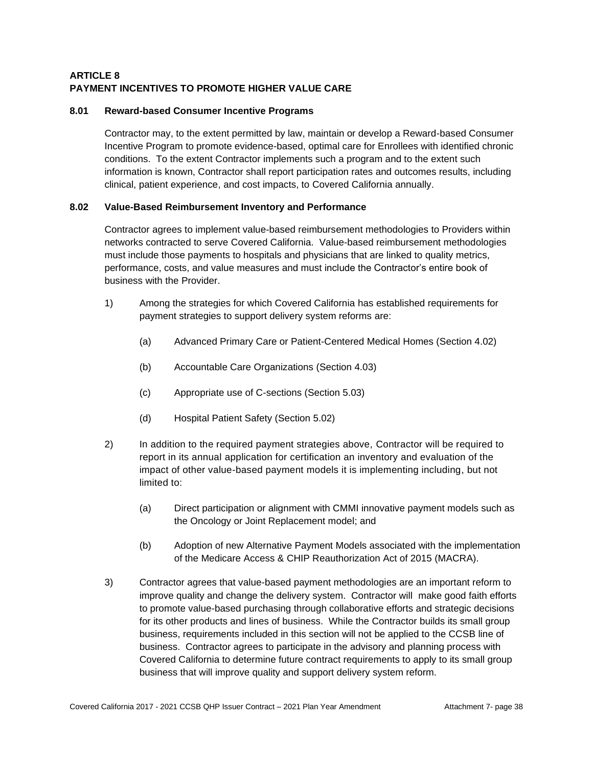# **ARTICLE 8 PAYMENT INCENTIVES TO PROMOTE HIGHER VALUE CARE**

### **8.01 Reward-based Consumer Incentive Programs**

Contractor may, to the extent permitted by law, maintain or develop a Reward-based Consumer Incentive Program to promote evidence-based, optimal care for Enrollees with identified chronic conditions. To the extent Contractor implements such a program and to the extent such information is known, Contractor shall report participation rates and outcomes results, including clinical, patient experience, and cost impacts, to Covered California annually.

### **8.02 Value-Based Reimbursement Inventory and Performance**

Contractor agrees to implement value-based reimbursement methodologies to Providers within networks contracted to serve Covered California. Value-based reimbursement methodologies must include those payments to hospitals and physicians that are linked to quality metrics, performance, costs, and value measures and must include the Contractor's entire book of business with the Provider.

- 1) Among the strategies for which Covered California has established requirements for payment strategies to support delivery system reforms are:
	- (a) Advanced Primary Care or Patient-Centered Medical Homes (Section 4.02)
	- (b) Accountable Care Organizations (Section 4.03)
	- (c) Appropriate use of C-sections (Section 5.03)
	- (d) Hospital Patient Safety (Section 5.02)
- 2) In addition to the required payment strategies above, Contractor will be required to report in its annual application for certification an inventory and evaluation of the impact of other value-based payment models it is implementing including, but not limited to:
	- (a) Direct participation or alignment with CMMI innovative payment models such as the Oncology or Joint Replacement model; and
	- (b) Adoption of new Alternative Payment Models associated with the implementation of the Medicare Access & [CHIP](http://www.insurekidsnow.gov/chip/index.html) Reauthorization Act of 2015 (MACRA).
- 3) Contractor agrees that value-based payment methodologies are an important reform to improve quality and change the delivery system. Contractor will make good faith efforts to promote value-based purchasing through collaborative efforts and strategic decisions for its other products and lines of business. While the Contractor builds its small group business, requirements included in this section will not be applied to the CCSB line of business. Contractor agrees to participate in the advisory and planning process with Covered California to determine future contract requirements to apply to its small group business that will improve quality and support delivery system reform.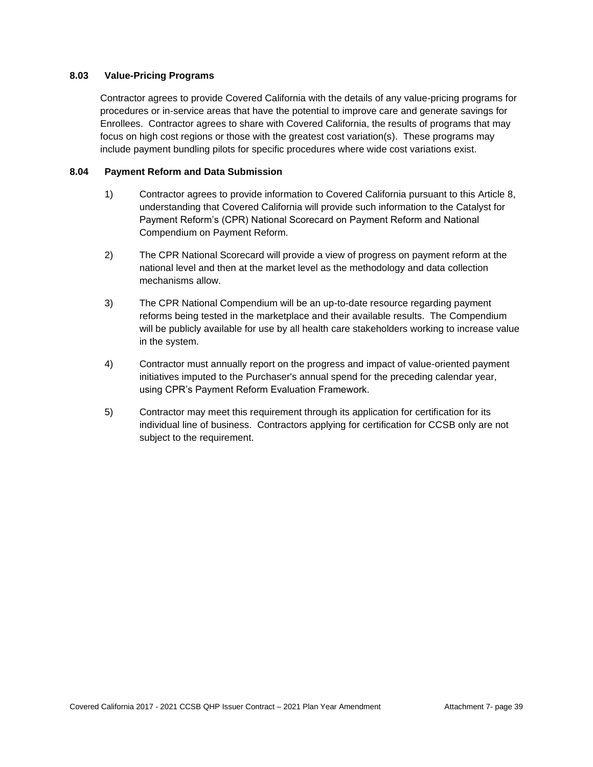### **8.03 Value-Pricing Programs**

Contractor agrees to provide Covered California with the details of any value-pricing programs for procedures or in-service areas that have the potential to improve care and generate savings for Enrollees. Contractor agrees to share with Covered California, the results of programs that may focus on high cost regions or those with the greatest cost variation(s). These programs may include payment bundling pilots for specific procedures where wide cost variations exist.

### **8.04 Payment Reform and Data Submission**

- 1) Contractor agrees to provide information to Covered California pursuant to this Article 8, understanding that Covered California will provide such information to the Catalyst for Payment Reform's (CPR) National Scorecard on Payment Reform and National Compendium on Payment Reform.
- 2) The CPR National Scorecard will provide a view of progress on payment reform at the national level and then at the market level as the methodology and data collection mechanisms allow.
- 3) The CPR National Compendium will be an up-to-date resource regarding payment reforms being tested in the marketplace and their available results. The Compendium will be publicly available for use by all health care stakeholders working to increase value in the system.
- 4) Contractor must annually report on the progress and impact of value-oriented payment initiatives imputed to the Purchaser's annual spend for the preceding calendar year, using CPR's Payment Reform Evaluation Framework.
- 5) Contractor may meet this requirement through its application for certification for its individual line of business. Contractors applying for certification for CCSB only are not subject to the requirement.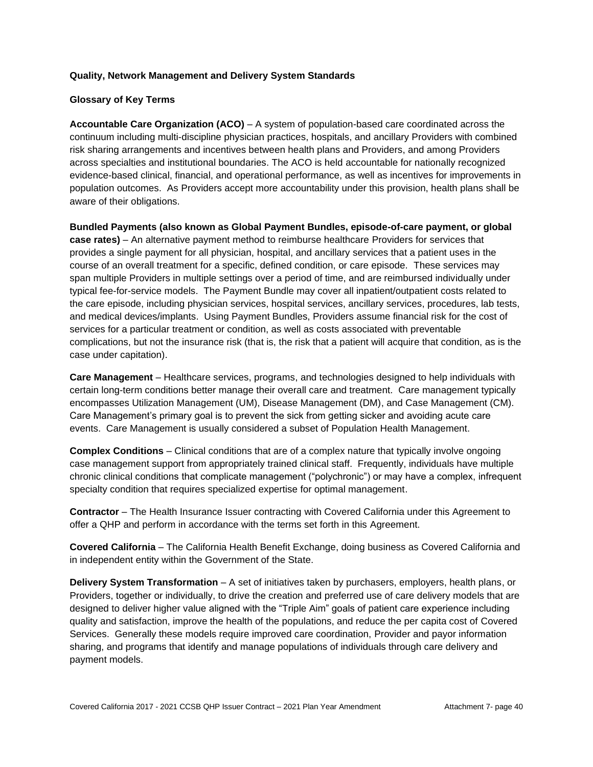### **Quality, Network Management and Delivery System Standards**

### **Glossary of Key Terms**

**Accountable Care Organization (ACO)** – A system of population-based care coordinated across the continuum including multi-discipline physician practices, hospitals, and ancillary Providers with combined risk sharing arrangements and incentives between health plans and Providers, and among Providers across specialties and institutional boundaries. The ACO is held accountable for nationally recognized evidence-based clinical, financial, and operational performance, as well as incentives for improvements in population outcomes. As Providers accept more accountability under this provision, health plans shall be aware of their obligations.

**Bundled Payments (also known as Global Payment Bundles, episode-of-care payment, or global case rates)** – An alternative payment method to reimburse healthcare Providers for services that provides a single payment for all physician, hospital, and ancillary services that a patient uses in the course of an overall treatment for a specific, defined condition, or care episode. These services may span multiple Providers in multiple settings over a period of time, and are reimbursed individually under typical fee-for-service models. The Payment Bundle may cover all inpatient/outpatient costs related to the care episode, including physician services, hospital services, ancillary services, procedures, lab tests, and medical devices/implants. Using Payment Bundles, Providers assume financial risk for the cost of services for a particular treatment or condition, as well as costs associated with preventable complications, but not the insurance risk (that is, the risk that a patient will acquire that condition, as is the case under capitation).

**Care Management** – Healthcare services, programs, and technologies designed to help individuals with certain long-term conditions better manage their overall care and treatment. Care management typically encompasses Utilization Management (UM), Disease Management (DM), and Case Management (CM). Care Management's primary goal is to prevent the sick from getting sicker and avoiding acute care events. Care Management is usually considered a subset of Population Health Management.

**Complex Conditions** – Clinical conditions that are of a complex nature that typically involve ongoing case management support from appropriately trained clinical staff. Frequently, individuals have multiple chronic clinical conditions that complicate management ("polychronic") or may have a complex, infrequent specialty condition that requires specialized expertise for optimal management.

**Contractor** – The Health Insurance Issuer contracting with Covered California under this Agreement to offer a QHP and perform in accordance with the terms set forth in this Agreement.

**Covered California** – The California Health Benefit Exchange, doing business as Covered California and in independent entity within the Government of the State.

**Delivery System Transformation** – A set of initiatives taken by purchasers, employers, health plans, or Providers, together or individually, to drive the creation and preferred use of care delivery models that are designed to deliver higher value aligned with the "Triple Aim" goals of patient care experience including quality and satisfaction, improve the health of the populations, and reduce the per capita cost of Covered Services. Generally these models require improved care coordination, Provider and payor information sharing, and programs that identify and manage populations of individuals through care delivery and payment models.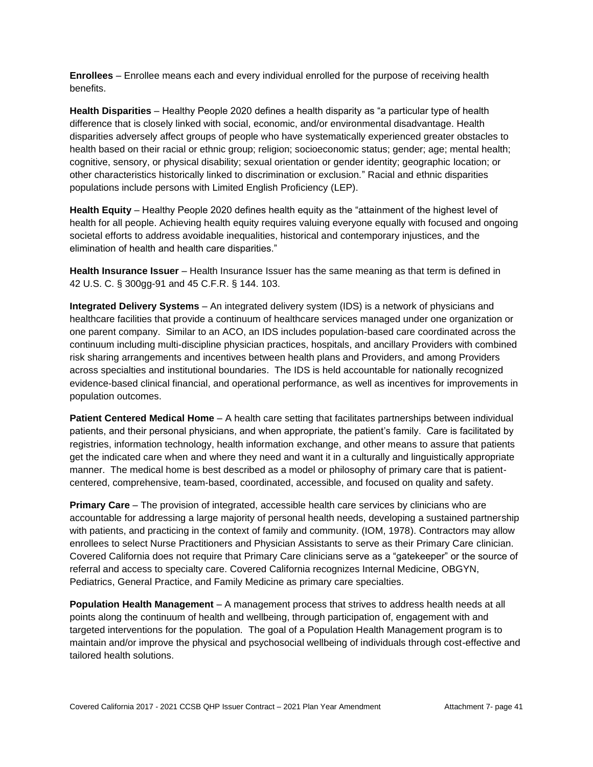**Enrollees** – Enrollee means each and every individual enrolled for the purpose of receiving health benefits.

**Health Disparities** – Healthy People 2020 defines a health disparity as "a particular type of health difference that is closely linked with social, economic, and/or environmental disadvantage. Health disparities adversely affect groups of people who have systematically experienced greater obstacles to health based on their racial or ethnic group; religion; socioeconomic status; gender; age; mental health; cognitive, sensory, or physical disability; sexual orientation or gender identity; geographic location; or other characteristics historically linked to discrimination or exclusion." Racial and ethnic disparities populations include persons with Limited English Proficiency (LEP).

**Health Equity** – Healthy People 2020 defines health equity as the "attainment of the highest level of health for all people. Achieving health equity requires valuing everyone equally with focused and ongoing societal efforts to address avoidable inequalities, historical and contemporary injustices, and the elimination of health and health care disparities."

**Health Insurance Issuer** – Health Insurance Issuer has the same meaning as that term is defined in 42 U.S. C. § 300gg-91 and 45 C.F.R. § 144. 103.

**Integrated Delivery Systems** – An integrated delivery system (IDS) is a network of physicians and healthcare facilities that provide a continuum of healthcare services managed under one organization or one parent company. Similar to an ACO, an IDS includes population-based care coordinated across the continuum including multi-discipline physician practices, hospitals, and ancillary Providers with combined risk sharing arrangements and incentives between health plans and Providers, and among Providers across specialties and institutional boundaries. The IDS is held accountable for nationally recognized evidence-based clinical financial, and operational performance, as well as incentives for improvements in population outcomes.

**Patient Centered Medical Home** – A health care setting that facilitates partnerships between individual patients, and their personal physicians, and when appropriate, the patient's family. Care is facilitated by registries, information technology, health information exchange, and other means to assure that patients get the indicated care when and where they need and want it in a culturally and linguistically appropriate manner. The medical home is best described as a model or philosophy of primary care that is patientcentered, comprehensive, team-based, coordinated, accessible, and focused on quality and safety.

**Primary Care** – The provision of integrated, accessible health care services by clinicians who are accountable for addressing a large majority of personal health needs, developing a sustained partnership with patients, and practicing in the context of family and community. (IOM, 1978). Contractors may allow enrollees to select Nurse Practitioners and Physician Assistants to serve as their Primary Care clinician. Covered California does not require that Primary Care clinicians serve as a "gatekeeper" or the source of referral and access to specialty care. Covered California recognizes Internal Medicine, OBGYN, Pediatrics, General Practice, and Family Medicine as primary care specialties.

**Population Health Management** – A management process that strives to address health needs at all points along the continuum of health and wellbeing, through participation of, engagement with and targeted interventions for the population. The goal of a Population Health Management program is to maintain and/or improve the physical and psychosocial wellbeing of individuals through cost-effective and tailored health solutions.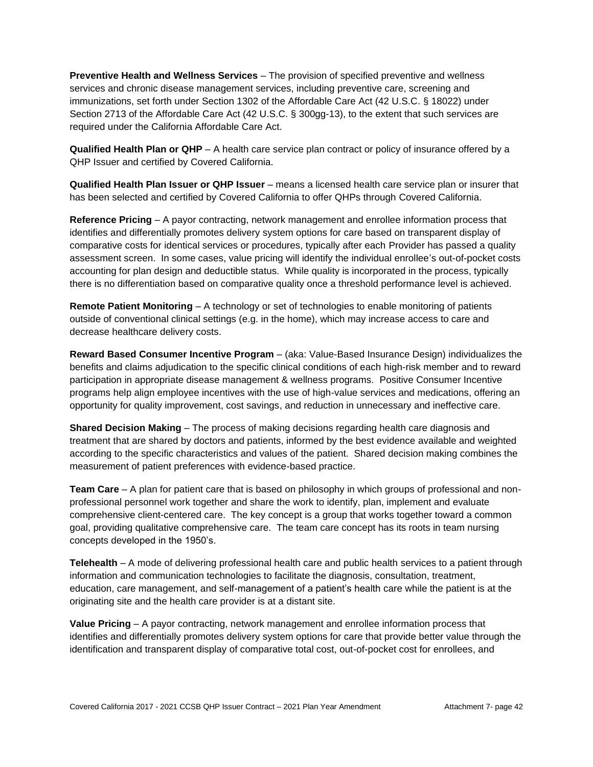**Preventive Health and Wellness Services** – The provision of specified preventive and wellness services and chronic disease management services, including preventive care, screening and immunizations, set forth under Section 1302 of the Affordable Care Act (42 U.S.C. § 18022) under Section 2713 of the Affordable Care Act (42 U.S.C. § 300gg-13), to the extent that such services are required under the California Affordable Care Act.

**Qualified Health Plan or QHP** – A health care service plan contract or policy of insurance offered by a QHP Issuer and certified by Covered California.

**Qualified Health Plan Issuer or QHP Issuer** – means a licensed health care service plan or insurer that has been selected and certified by Covered California to offer QHPs through Covered California.

**Reference Pricing** – A payor contracting, network management and enrollee information process that identifies and differentially promotes delivery system options for care based on transparent display of comparative costs for identical services or procedures, typically after each Provider has passed a quality assessment screen. In some cases, value pricing will identify the individual enrollee's out-of-pocket costs accounting for plan design and deductible status. While quality is incorporated in the process, typically there is no differentiation based on comparative quality once a threshold performance level is achieved.

**Remote Patient Monitoring** – A technology or set of technologies to enable monitoring of patients outside of conventional clinical settings (e.g. in the home), which may increase access to care and decrease healthcare delivery costs.

**Reward Based Consumer Incentive Program** – (aka: Value-Based Insurance Design) individualizes the benefits and claims adjudication to the specific clinical conditions of each high-risk member and to reward participation in appropriate disease management & wellness programs. Positive Consumer Incentive programs help align employee incentives with the use of high-value services and medications, offering an opportunity for quality improvement, cost savings, and reduction in unnecessary and ineffective care.

**Shared Decision Making** – The process of making decisions regarding health care diagnosis and treatment that are shared by doctors and patients, informed by the best evidence available and weighted according to the specific characteristics and values of the patient. Shared decision making combines the measurement of patient preferences with evidence-based practice.

**Team Care** – A plan for patient care that is based on philosophy in which groups of professional and nonprofessional personnel work together and share the work to identify, plan, implement and evaluate comprehensive client-centered care. The key concept is a group that works together toward a common goal, providing qualitative comprehensive care. The team care concept has its roots in team nursing concepts developed in the 1950's.

**Telehealth** – A mode of delivering professional health care and public health services to a patient through information and communication technologies to facilitate the diagnosis, consultation, treatment, education, care management, and self-management of a patient's health care while the patient is at the originating site and the health care provider is at a distant site.

**Value Pricing** – A payor contracting, network management and enrollee information process that identifies and differentially promotes delivery system options for care that provide better value through the identification and transparent display of comparative total cost, out-of-pocket cost for enrollees, and